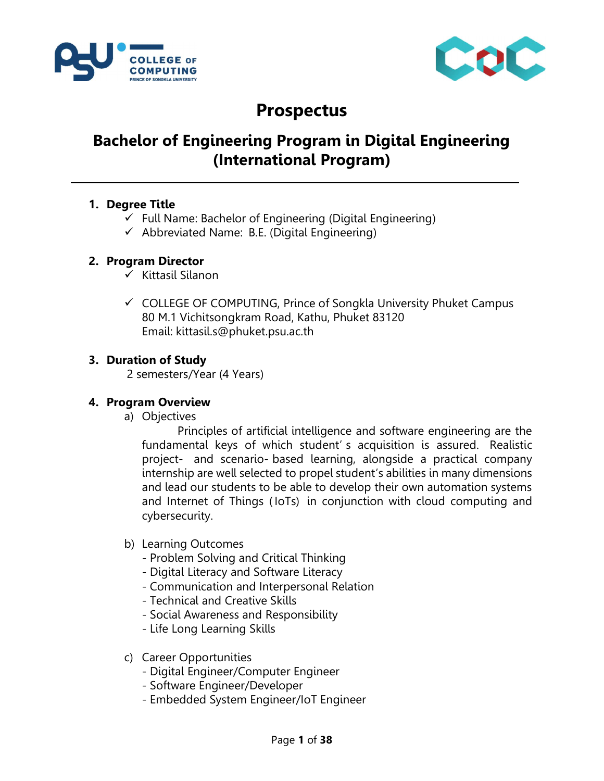



# Prospectus

# Bachelor of Engineering Program in Digital Engineering (International Program)

#### 1. Degree Title

- $\checkmark$  Full Name: Bachelor of Engineering (Digital Engineering)
- $\checkmark$  Abbreviated Name: B.E. (Digital Engineering)

#### 2. Program Director

- $\checkmark$  Kittasil Silanon
- $\checkmark$  COLLEGE OF COMPUTING, Prince of Songkla University Phuket Campus 80 M.1 Vichitsongkram Road, Kathu, Phuket 83120 Email: kittasil.s@phuket.psu.ac.th

#### 3. Duration of Study

2 semesters/Year (4 Years)

#### 4. Program Overview

a) Objectives

Principles of artificial intelligence and software engineering are the fundamental keys of which student' s acquisition is assured. Realistic project- and scenario- based learning, alongside a practical company internship are well selected to propel student's abilities in many dimensions and lead our students to be able to develop their own automation systems and Internet of Things ( IoTs) in conjunction with cloud computing and cybersecurity.

#### b) Learning Outcomes

- Problem Solving and Critical Thinking
- Digital Literacy and Software Literacy
- Communication and Interpersonal Relation
- Technical and Creative Skills
- Social Awareness and Responsibility
- Life Long Learning Skills
- c) Career Opportunities
	- Digital Engineer/Computer Engineer
	- Software Engineer/Developer
	- Embedded System Engineer/IoT Engineer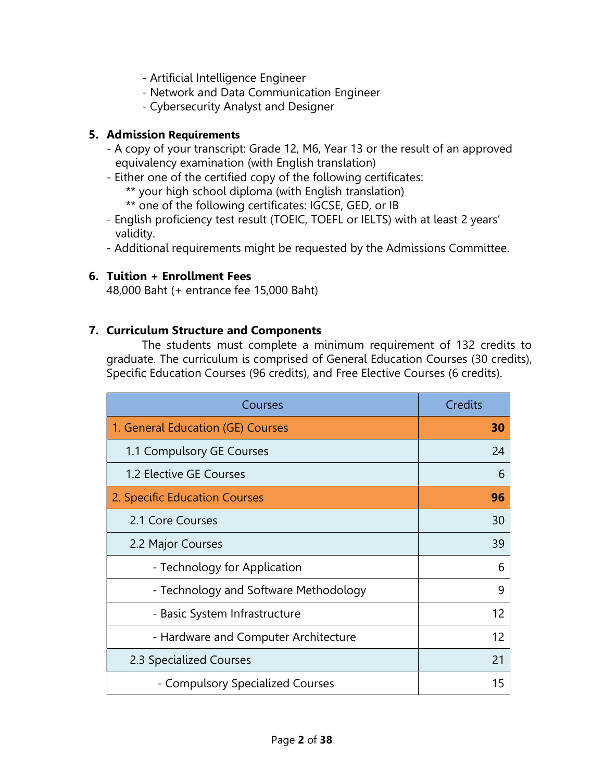- Artificial Intelligence Engineer
- Network and Data Communication Engineer
- Cybersecurity Analyst and Designer

#### 5. Admission Requirements

- A copy of your transcript: Grade 12, M6, Year 13 or the result of an approved equivalency examination (with English translation)
- Either one of the certified copy of the following certificates:
	- \*\* your high school diploma (with English translation)
	- \*\* one of the following certificates: IGCSE, GED, or IB
- English proficiency test result (TOEIC, TOEFL or IELTS) with at least 2 years' validity.
- Additional requirements might be requested by the Admissions Committee.

#### 6. Tuition + Enrollment Fees

48,000 Baht (+ entrance fee 15,000 Baht)

#### 7. Curriculum Structure and Components

The students must complete a minimum requirement of 132 credits to graduate. The curriculum is comprised of General Education Courses (30 credits), Specific Education Courses (96 credits), and Free Elective Courses (6 credits).

| Courses                               | <b>Credits</b> |
|---------------------------------------|----------------|
| 1. General Education (GE) Courses     | 30             |
| 1.1 Compulsory GE Courses             | 24             |
| 1.2 Elective GE Courses               | 6              |
| 2. Specific Education Courses         | 96             |
| 2.1 Core Courses                      | 30             |
| 2.2 Major Courses                     | 39             |
| - Technology for Application          | 6              |
| - Technology and Software Methodology | 9              |
| - Basic System Infrastructure         | 12             |
| - Hardware and Computer Architecture  | 12             |
| 2.3 Specialized Courses               | 21             |
| - Compulsory Specialized Courses      | 15             |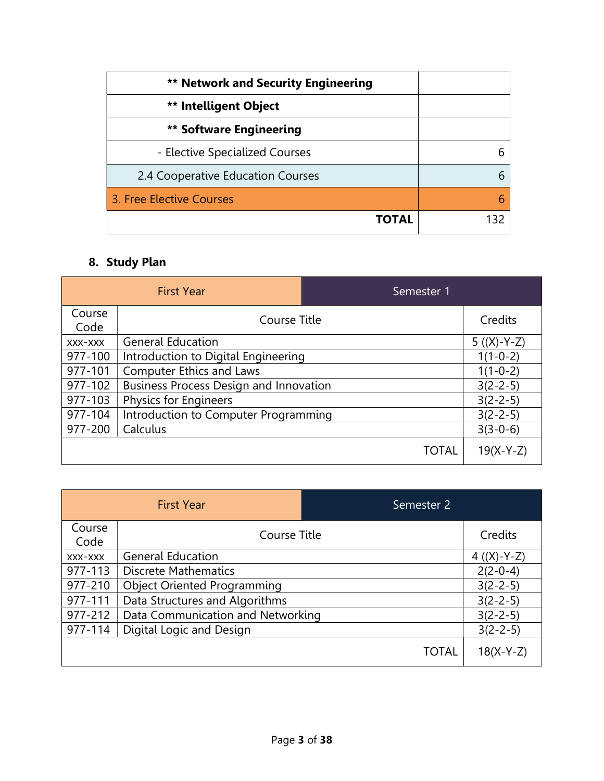| <b>** Network and Security Engineering</b> |  |
|--------------------------------------------|--|
| <b>** Intelligent Object</b>               |  |
| <b>** Software Engineering</b>             |  |
| - Elective Specialized Courses             |  |
| 2.4 Cooperative Education Courses          |  |
| 3. Free Elective Courses                   |  |
| ΤΟΤΑL                                      |  |

# 8. Study Plan

|                | <b>First Year</b>                             | Semester 1   |                |
|----------------|-----------------------------------------------|--------------|----------------|
| Course<br>Code | Course Title                                  |              | Credits        |
| XXX-XXX        | <b>General Education</b>                      |              | $5 ((X)-Y-Z)$  |
| 977-100        | Introduction to Digital Engineering           |              | $1(1-0-2)$     |
| 977-101        | <b>Computer Ethics and Laws</b>               |              | $1(1-0-2)$     |
| 977-102        | <b>Business Process Design and Innovation</b> |              | $3(2-2-5)$     |
| 977-103        | <b>Physics for Engineers</b>                  |              | $3(2 - 2 - 5)$ |
| 977-104        | Introduction to Computer Programming          |              | $3(2 - 2 - 5)$ |
| 977-200        | Calculus                                      |              | $3(3-0-6)$     |
|                |                                               | <b>TOTAL</b> | $19(X-Y-Z)$    |

|                | <b>First Year</b>                  | Semester 2   |                |
|----------------|------------------------------------|--------------|----------------|
| Course<br>Code | Course Title                       |              | Credits        |
| XXX-XXX        | <b>General Education</b>           |              | 4 $((X)-Y-Z)$  |
| 977-113        | <b>Discrete Mathematics</b>        |              | $2(2-0-4)$     |
| 977-210        | <b>Object Oriented Programming</b> |              | $3(2 - 2 - 5)$ |
| 977-111        | Data Structures and Algorithms     |              | $3(2 - 2 - 5)$ |
| 977-212        | Data Communication and Networking  |              | $3(2 - 2 - 5)$ |
| 977-114        | Digital Logic and Design           |              | $3(2 - 2 - 5)$ |
|                |                                    | <b>TOTAL</b> | $18(X-Y-Z)$    |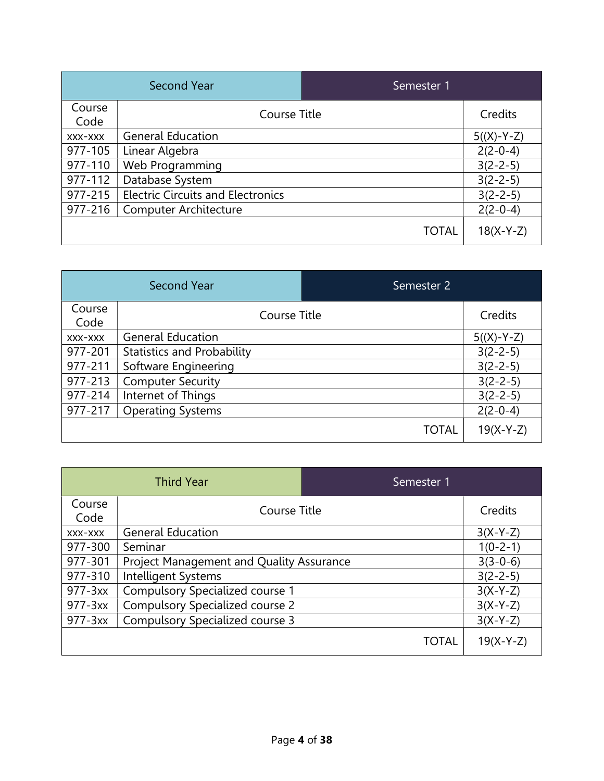|                | <b>Second Year</b>                       | Semester 1   |                |
|----------------|------------------------------------------|--------------|----------------|
| Course<br>Code | Course Title                             |              | Credits        |
| XXX-XXX        | <b>General Education</b>                 |              | $5((X)-Y-Z)$   |
| 977-105        | Linear Algebra                           |              | $2(2-0-4)$     |
| 977-110        | Web Programming                          |              | $3(2 - 2 - 5)$ |
| 977-112        | Database System                          |              | $3(2 - 2 - 5)$ |
| 977-215        | <b>Electric Circuits and Electronics</b> |              | $3(2 - 2 - 5)$ |
| 977-216        | <b>Computer Architecture</b>             |              | $2(2-0-4)$     |
|                |                                          | <b>TOTAL</b> | $18(X-Y-Z)$    |

|                | <b>Second Year</b>                | Semester <sub>2</sub> |                |
|----------------|-----------------------------------|-----------------------|----------------|
| Course<br>Code | Course Title                      |                       | Credits        |
| XXX-XXX        | <b>General Education</b>          |                       | $5((X)-Y-Z)$   |
| 977-201        | <b>Statistics and Probability</b> |                       | $3(2 - 2 - 5)$ |
| 977-211        | Software Engineering              |                       | $3(2 - 2 - 5)$ |
| 977-213        | <b>Computer Security</b>          |                       | $3(2 - 2 - 5)$ |
| 977-214        | Internet of Things                |                       | $3(2 - 2 - 5)$ |
| 977-217        | <b>Operating Systems</b>          |                       | $2(2-0-4)$     |
|                |                                   | <b>TOTAL</b>          | $19(X-Y-Z)$    |

|                | <b>Third Year</b>                        | Semester 1   |                |
|----------------|------------------------------------------|--------------|----------------|
| Course<br>Code | Course Title                             |              | Credits        |
| XXX-XXX        | <b>General Education</b>                 |              | $3(X-Y-Z)$     |
| 977-300        | Seminar                                  |              | $1(0-2-1)$     |
| 977-301        | Project Management and Quality Assurance |              | $3(3-0-6)$     |
| 977-310        | Intelligent Systems                      |              | $3(2 - 2 - 5)$ |
| 977-3xx        | Compulsory Specialized course 1          |              | $3(X-Y-Z)$     |
| 977-3xx        | <b>Compulsory Specialized course 2</b>   |              | $3(X-Y-Z)$     |
| 977-3xx        | Compulsory Specialized course 3          |              | $3(X-Y-Z)$     |
|                |                                          | <b>TOTAL</b> | $19(X-Y-Z)$    |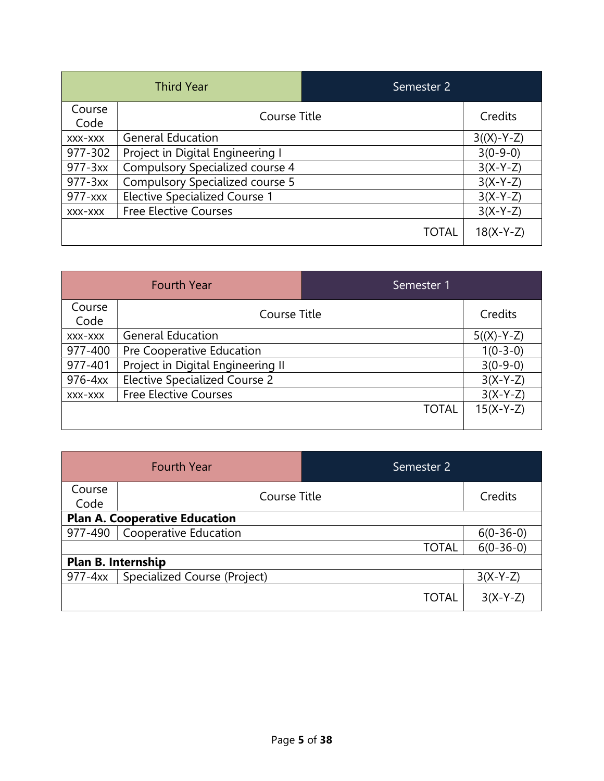|                | <b>Third Year</b>                      | Semester 2   |              |
|----------------|----------------------------------------|--------------|--------------|
| Course<br>Code | Course Title                           |              | Credits      |
| XXX-XXX        | <b>General Education</b>               |              | $3((X)-Y-Z)$ |
| 977-302        | Project in Digital Engineering I       |              | $3(0-9-0)$   |
| 977-3xx        | Compulsory Specialized course 4        |              | $3(X-Y-Z)$   |
| 977-3xx        | <b>Compulsory Specialized course 5</b> |              | $3(X-Y-Z)$   |
| 977-xxx        | <b>Elective Specialized Course 1</b>   |              | $3(X-Y-Z)$   |
| XXX-XXX        | <b>Free Elective Courses</b>           |              | $3(X-Y-Z)$   |
|                |                                        | <b>TOTAL</b> | $18(X-Y-Z)$  |

|                | <b>Fourth Year</b>                   | Semester 1   |              |
|----------------|--------------------------------------|--------------|--------------|
| Course<br>Code | Course Title                         |              | Credits      |
| XXX-XXX        | <b>General Education</b>             |              | $5((X)-Y-Z)$ |
| 977-400        | Pre Cooperative Education            |              | $1(0-3-0)$   |
| 977-401        | Project in Digital Engineering II    |              | $3(0-9-0)$   |
| 976-4xx        | <b>Elective Specialized Course 2</b> |              | $3(X-Y-Z)$   |
| XXX-XXX        | <b>Free Elective Courses</b>         |              | $3(X-Y-Z)$   |
|                |                                      | <b>TOTAL</b> | $15(X-Y-Z)$  |

|                                      | <b>Fourth Year</b>           | Semester 2   |             |
|--------------------------------------|------------------------------|--------------|-------------|
| Course<br>Code                       | Course Title                 |              | Credits     |
| <b>Plan A. Cooperative Education</b> |                              |              |             |
| 977-490                              | <b>Cooperative Education</b> |              | $6(0-36-0)$ |
|                                      |                              | <b>TOTAL</b> | $6(0-36-0)$ |
|                                      | Plan B. Internship           |              |             |
| 977-4xx                              | Specialized Course (Project) |              | $3(X-Y-Z)$  |
|                                      |                              | <b>TOTAL</b> | $3(X-Y-Z)$  |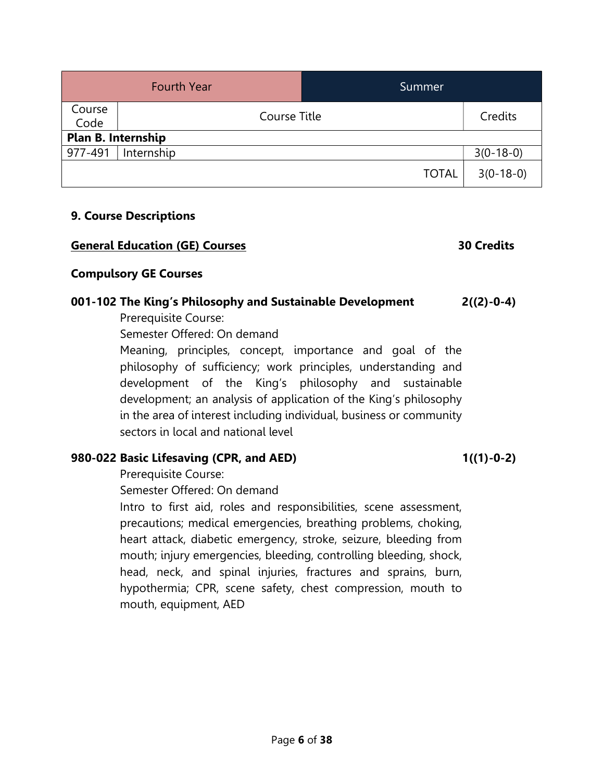|                           | <b>Fourth Year</b> | Summer       |             |
|---------------------------|--------------------|--------------|-------------|
| Course<br>Code            | Course Title       |              | Credits     |
| <b>Plan B. Internship</b> |                    |              |             |
| 977-491                   | Internship         |              | $3(0-18-0)$ |
|                           |                    | <b>TOTAL</b> | $3(0-18-0)$ |

#### 9. Course Descriptions

| <b>General Education (GE) Courses</b>                               | <b>30 Credits</b> |
|---------------------------------------------------------------------|-------------------|
| <b>Compulsory GE Courses</b>                                        |                   |
| 001-102 The King's Philosophy and Sustainable Development           | $2((2)-0-4)$      |
| Prerequisite Course:                                                |                   |
| Semester Offered: On demand                                         |                   |
| Meaning, principles, concept, importance and goal of the            |                   |
| philosophy of sufficiency; work principles, understanding and       |                   |
| development of the King's philosophy and sustainable                |                   |
| development; an analysis of application of the King's philosophy    |                   |
| in the area of interest including individual, business or community |                   |

sectors in local and national level

### 980-022 Basic Lifesaving (CPR, and AED) 1((1)-0-2)

Prerequisite Course:

Semester Offered: On demand

Intro to first aid, roles and responsibilities, scene assessment, precautions; medical emergencies, breathing problems, choking, heart attack, diabetic emergency, stroke, seizure, bleeding from mouth; injury emergencies, bleeding, controlling bleeding, shock, head, neck, and spinal injuries, fractures and sprains, burn, hypothermia; CPR, scene safety, chest compression, mouth to mouth, equipment, AED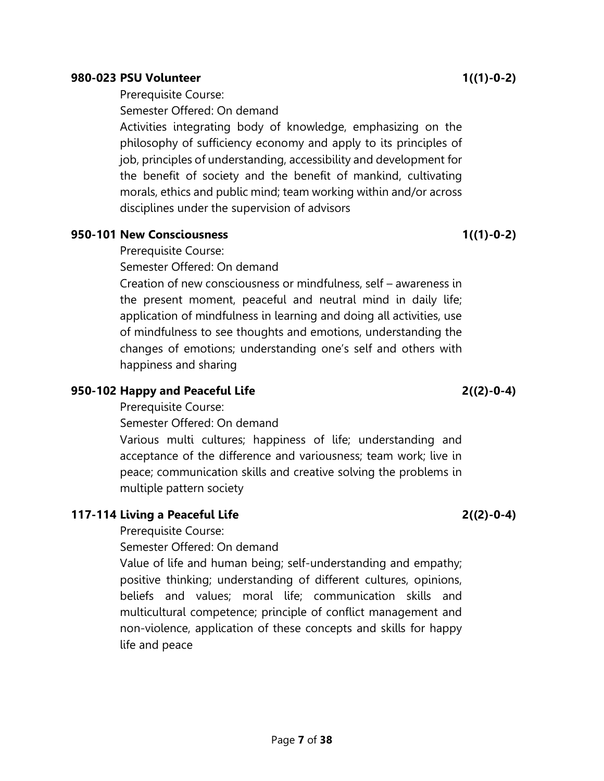#### 980-023 PSU Volunteer 1((1)-0-2)

Prerequisite Course:

Semester Offered: On demand

Activities integrating body of knowledge, emphasizing on the philosophy of sufficiency economy and apply to its principles of job, principles of understanding, accessibility and development for the benefit of society and the benefit of mankind, cultivating morals, ethics and public mind; team working within and/or across disciplines under the supervision of advisors

## 950-101 New Consciousness 1((1)-0-2)

Prerequisite Course:

Semester Offered: On demand

Creation of new consciousness or mindfulness, self – awareness in the present moment, peaceful and neutral mind in daily life; application of mindfulness in learning and doing all activities, use of mindfulness to see thoughts and emotions, understanding the changes of emotions; understanding one's self and others with happiness and sharing

# 950-102 Happy and Peaceful Life 2((2)-0-4)

Prerequisite Course:

Semester Offered: On demand

Various multi cultures; happiness of life; understanding and acceptance of the difference and variousness; team work; live in peace; communication skills and creative solving the problems in multiple pattern society

# 117-114 Living a Peaceful Life 2((2)-0-4)

Prerequisite Course:

Semester Offered: On demand

Value of life and human being; self-understanding and empathy; positive thinking; understanding of different cultures, opinions, beliefs and values; moral life; communication skills and multicultural competence; principle of conflict management and non-violence, application of these concepts and skills for happy life and peace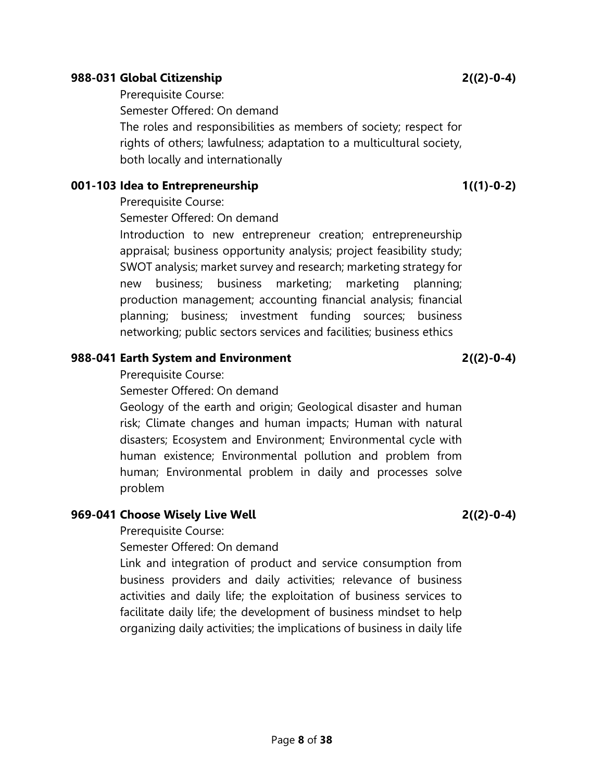#### 988-031 Global Citizenship 2((2)-0-4)

Prerequisite Course:

Semester Offered: On demand

The roles and responsibilities as members of society; respect for rights of others; lawfulness; adaptation to a multicultural society, both locally and internationally

#### 001-103 Idea to Entrepreneurship 1((1)-0-2)

Prerequisite Course:

Semester Offered: On demand

Introduction to new entrepreneur creation; entrepreneurship appraisal; business opportunity analysis; project feasibility study; SWOT analysis; market survey and research; marketing strategy for new business; business marketing; marketing planning; production management; accounting financial analysis; financial planning; business; investment funding sources; business networking; public sectors services and facilities; business ethics

## 988-041 Earth System and Environment 2((2)-0-4)

Prerequisite Course:

Semester Offered: On demand

Geology of the earth and origin; Geological disaster and human risk; Climate changes and human impacts; Human with natural disasters; Ecosystem and Environment; Environmental cycle with human existence; Environmental pollution and problem from human; Environmental problem in daily and processes solve problem

# 969-041 Choose Wisely Live Well 2((2)-0-4)

Prerequisite Course:

Semester Offered: On demand

Link and integration of product and service consumption from business providers and daily activities; relevance of business activities and daily life; the exploitation of business services to facilitate daily life; the development of business mindset to help organizing daily activities; the implications of business in daily life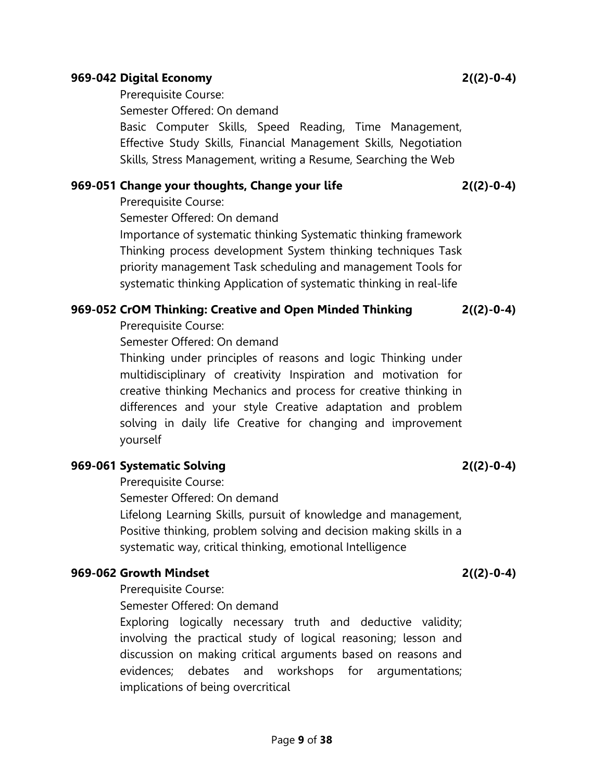Page 9 of 38

#### 969-042 Digital Economy 2((2)-0-4)

Prerequisite Course:

Semester Offered: On demand

Basic Computer Skills, Speed Reading, Time Management, Effective Study Skills, Financial Management Skills, Negotiation Skills, Stress Management, writing a Resume, Searching the Web

#### 969-051 Change your thoughts, Change your life 2((2)-0-4)

Prerequisite Course:

Semester Offered: On demand

Importance of systematic thinking Systematic thinking framework Thinking process development System thinking techniques Task priority management Task scheduling and management Tools for systematic thinking Application of systematic thinking in real-life

#### 969-052 CrOM Thinking: Creative and Open Minded Thinking 2((2)-0-4)

Prerequisite Course:

Semester Offered: On demand

Thinking under principles of reasons and logic Thinking under multidisciplinary of creativity Inspiration and motivation for creative thinking Mechanics and process for creative thinking in differences and your style Creative adaptation and problem solving in daily life Creative for changing and improvement yourself

### 969-061 Systematic Solving 2((2)-0-4)

Prerequisite Course:

Semester Offered: On demand

Lifelong Learning Skills, pursuit of knowledge and management, Positive thinking, problem solving and decision making skills in a systematic way, critical thinking, emotional Intelligence

#### 969-062 Growth Mindset 2((2)-0-4)

Prerequisite Course:

Semester Offered: On demand

Exploring logically necessary truth and deductive validity; involving the practical study of logical reasoning; lesson and discussion on making critical arguments based on reasons and evidences; debates and workshops for argumentations; implications of being overcritical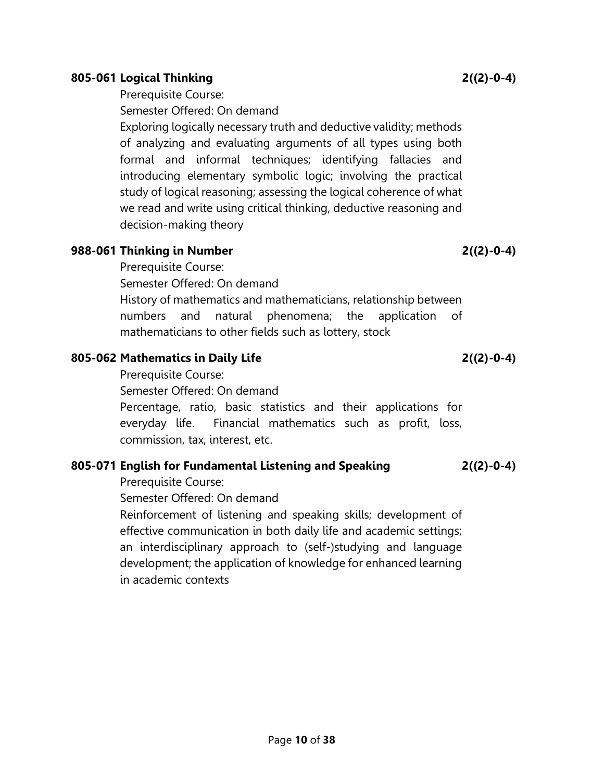### 805-061 Logical Thinking 2((2)-0-4)

## Prerequisite Course:

Semester Offered: On demand

Exploring logically necessary truth and deductive validity; methods of analyzing and evaluating arguments of all types using both formal and informal techniques; identifying fallacies and introducing elementary symbolic logic; involving the practical study of logical reasoning; assessing the logical coherence of what we read and write using critical thinking, deductive reasoning and decision-making theory

### 988-061 Thinking in Number 2((2)-0-4)

Prerequisite Course:

Semester Offered: On demand

History of mathematics and mathematicians, relationship between numbers and natural phenomena; the application of mathematicians to other fields such as lottery, stock

# 805-062 Mathematics in Daily Life  $2((2)-0-4)$

Prerequisite Course:

Semester Offered: On demand

Percentage, ratio, basic statistics and their applications for everyday life. Financial mathematics such as profit, loss, commission, tax, interest, etc.

# 805-071 English for Fundamental Listening and Speaking 2((2)-0-4)

Prerequisite Course:

Semester Offered: On demand

Reinforcement of listening and speaking skills; development of effective communication in both daily life and academic settings; an interdisciplinary approach to (self-)studying and language development; the application of knowledge for enhanced learning in academic contexts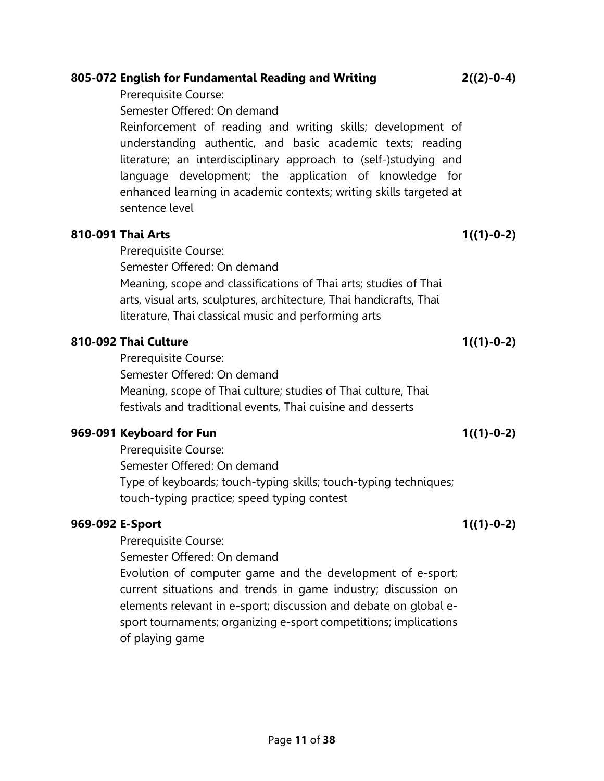|                 | Semester Offered: On demand                                                                                                                                                                                                                                                                                                                        |              |
|-----------------|----------------------------------------------------------------------------------------------------------------------------------------------------------------------------------------------------------------------------------------------------------------------------------------------------------------------------------------------------|--------------|
|                 | Reinforcement of reading and writing skills; development of<br>understanding authentic, and basic academic texts; reading<br>literature; an interdisciplinary approach to (self-)studying and<br>language development; the application of knowledge<br>for<br>enhanced learning in academic contexts; writing skills targeted at<br>sentence level |              |
|                 | 810-091 Thai Arts                                                                                                                                                                                                                                                                                                                                  | $1((1)-0-2)$ |
|                 | Prerequisite Course:                                                                                                                                                                                                                                                                                                                               |              |
|                 | Semester Offered: On demand                                                                                                                                                                                                                                                                                                                        |              |
|                 | Meaning, scope and classifications of Thai arts; studies of Thai                                                                                                                                                                                                                                                                                   |              |
|                 | arts, visual arts, sculptures, architecture, Thai handicrafts, Thai                                                                                                                                                                                                                                                                                |              |
|                 | literature, Thai classical music and performing arts                                                                                                                                                                                                                                                                                               |              |
|                 | 810-092 Thai Culture                                                                                                                                                                                                                                                                                                                               | $1((1)-0-2)$ |
|                 | Prerequisite Course:                                                                                                                                                                                                                                                                                                                               |              |
|                 | Semester Offered: On demand                                                                                                                                                                                                                                                                                                                        |              |
|                 | Meaning, scope of Thai culture; studies of Thai culture, Thai                                                                                                                                                                                                                                                                                      |              |
|                 | festivals and traditional events, Thai cuisine and desserts                                                                                                                                                                                                                                                                                        |              |
|                 | 969-091 Keyboard for Fun                                                                                                                                                                                                                                                                                                                           | $1((1)-0-2)$ |
|                 | Prerequisite Course:                                                                                                                                                                                                                                                                                                                               |              |
|                 | Semester Offered: On demand                                                                                                                                                                                                                                                                                                                        |              |
|                 | Type of keyboards; touch-typing skills; touch-typing techniques;                                                                                                                                                                                                                                                                                   |              |
|                 | touch-typing practice; speed typing contest                                                                                                                                                                                                                                                                                                        |              |
| 969-092 E-Sport |                                                                                                                                                                                                                                                                                                                                                    | $1((1)-0-2)$ |
|                 | Prerequisite Course:                                                                                                                                                                                                                                                                                                                               |              |
|                 | Semester Offered: On demand                                                                                                                                                                                                                                                                                                                        |              |
|                 | Evolution of computer game and the development of e-sport;                                                                                                                                                                                                                                                                                         |              |
|                 | current situations and trends in game industry; discussion on                                                                                                                                                                                                                                                                                      |              |
|                 | elements relevant in e-sport; discussion and debate on global e-                                                                                                                                                                                                                                                                                   |              |
|                 | sport tournaments; organizing e-sport competitions; implications                                                                                                                                                                                                                                                                                   |              |
|                 | of playing game                                                                                                                                                                                                                                                                                                                                    |              |

Prerequisite Course:

805-072 English for Fundamental Reading and Writing 2((2)-0-4)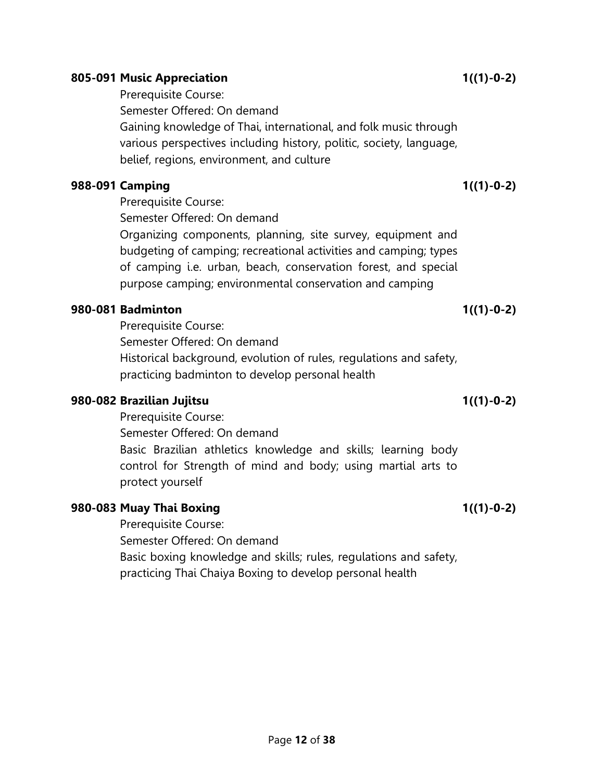#### 805-091 Music Appreciation 1((1)-0-2)

Prerequisite Course:

Semester Offered: On demand

Gaining knowledge of Thai, international, and folk music through various perspectives including history, politic, society, language, belief, regions, environment, and culture

### 988-091 Camping 1((1)-0-2)

Prerequisite Course:

Semester Offered: On demand

Organizing components, planning, site survey, equipment and budgeting of camping; recreational activities and camping; types of camping i.e. urban, beach, conservation forest, and special purpose camping; environmental conservation and camping

## 980-081 Badminton 1((1)-0-2)

Prerequisite Course: Semester Offered: On demand Historical background, evolution of rules, regulations and safety, practicing badminton to develop personal health

### 980-082 Brazilian Jujitsu 1((1)-0-2)

Prerequisite Course: Semester Offered: On demand Basic Brazilian athletics knowledge and skills; learning body control for Strength of mind and body; using martial arts to protect yourself

# 980-083 Muay Thai Boxing 1((1)-0-2)

Prerequisite Course: Semester Offered: On demand Basic boxing knowledge and skills; rules, regulations and safety, practicing Thai Chaiya Boxing to develop personal health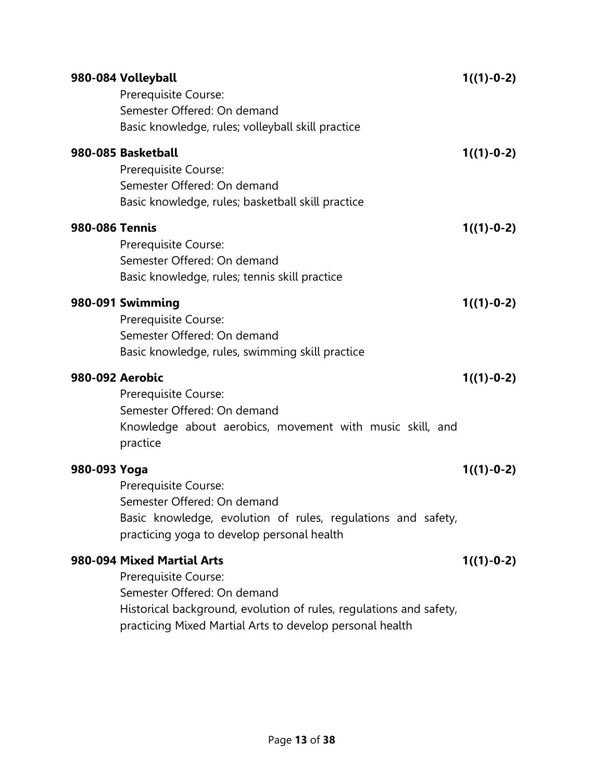|                        | 980-084 Volleyball<br>Prerequisite Course:<br>Semester Offered: On demand<br>Basic knowledge, rules; volleyball skill practice                                                                                      | $1((1)-0-2)$ |
|------------------------|---------------------------------------------------------------------------------------------------------------------------------------------------------------------------------------------------------------------|--------------|
|                        | 980-085 Basketball<br>Prerequisite Course:<br>Semester Offered: On demand<br>Basic knowledge, rules; basketball skill practice                                                                                      | $1((1)-0-2)$ |
| <b>980-086 Tennis</b>  | Prerequisite Course:<br>Semester Offered: On demand<br>Basic knowledge, rules; tennis skill practice                                                                                                                | $1((1)-0-2)$ |
|                        | 980-091 Swimming<br>Prerequisite Course:<br>Semester Offered: On demand<br>Basic knowledge, rules, swimming skill practice                                                                                          | $1((1)-0-2)$ |
| <b>980-092 Aerobic</b> | Prerequisite Course:<br>Semester Offered: On demand<br>Knowledge about aerobics, movement with music skill, and<br>practice                                                                                         | $1((1)-0-2)$ |
| 980-093 Yoga           | Prerequisite Course:<br>Semester Offered: On demand<br>Basic knowledge, evolution of rules, regulations and safety,<br>practicing yoga to develop personal health                                                   | $1((1)-0-2)$ |
|                        | 980-094 Mixed Martial Arts<br>Prerequisite Course:<br>Semester Offered: On demand<br>Historical background, evolution of rules, regulations and safety,<br>practicing Mixed Martial Arts to develop personal health | $1((1)-0-2)$ |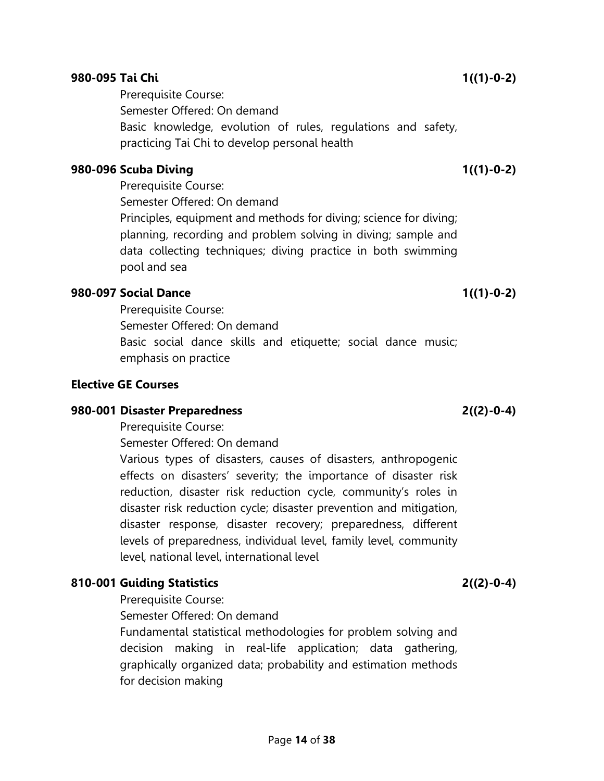#### 980-095 Tai Chi 1((1)-0-2)

Prerequisite Course: Semester Offered: On demand Basic knowledge, evolution of rules, regulations and safety, practicing Tai Chi to develop personal health

#### 980-096 Scuba Diving 1((1)-0-2)

Prerequisite Course: Semester Offered: On demand Principles, equipment and methods for diving; science for diving; planning, recording and problem solving in diving; sample and data collecting techniques; diving practice in both swimming pool and sea

### 980-097 Social Dance 1((1)-0-2)

Prerequisite Course: Semester Offered: On demand Basic social dance skills and etiquette; social dance music; emphasis on practice

#### Elective GE Courses

#### 980-001 Disaster Preparedness 2((2)-0-4)

Prerequisite Course:

Semester Offered: On demand

Various types of disasters, causes of disasters, anthropogenic effects on disasters' severity; the importance of disaster risk reduction, disaster risk reduction cycle, community's roles in disaster risk reduction cycle; disaster prevention and mitigation, disaster response, disaster recovery; preparedness, different levels of preparedness, individual level, family level, community level, national level, international level

# 810-001 Guiding Statistics 2((2)-0-4)

Prerequisite Course:

Semester Offered: On demand

Fundamental statistical methodologies for problem solving and decision making in real-life application; data gathering, graphically organized data; probability and estimation methods for decision making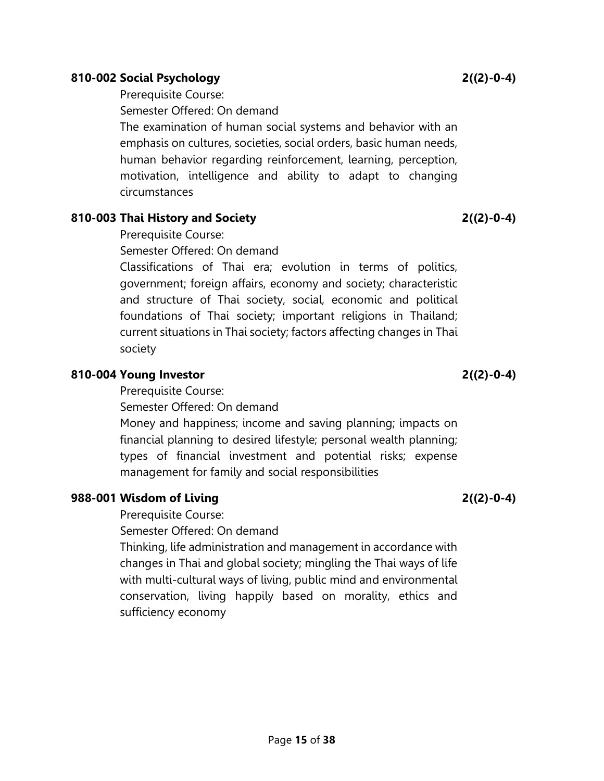#### human behavior regarding reinforcement, learning, perception, motivation, intelligence and ability to adapt to changing

Prerequisite Course:

circumstances

# 810-003 Thai History and Society 2((2)-0-4)

Prerequisite Course:

Semester Offered: On demand

Classifications of Thai era; evolution in terms of politics, government; foreign affairs, economy and society; characteristic and structure of Thai society, social, economic and political foundations of Thai society; important religions in Thailand; current situations in Thai society; factors affecting changes in Thai society

The examination of human social systems and behavior with an emphasis on cultures, societies, social orders, basic human needs,

# 810-004 Young Investor 2((2)-0-4)

Prerequisite Course:

Semester Offered: On demand

Money and happiness; income and saving planning; impacts on financial planning to desired lifestyle; personal wealth planning; types of financial investment and potential risks; expense management for family and social responsibilities

# 988-001 Wisdom of Living 2((2)-0-4)

Prerequisite Course:

Semester Offered: On demand

Thinking, life administration and management in accordance with changes in Thai and global society; mingling the Thai ways of life with multi-cultural ways of living, public mind and environmental conservation, living happily based on morality, ethics and sufficiency economy

Semester Offered: On demand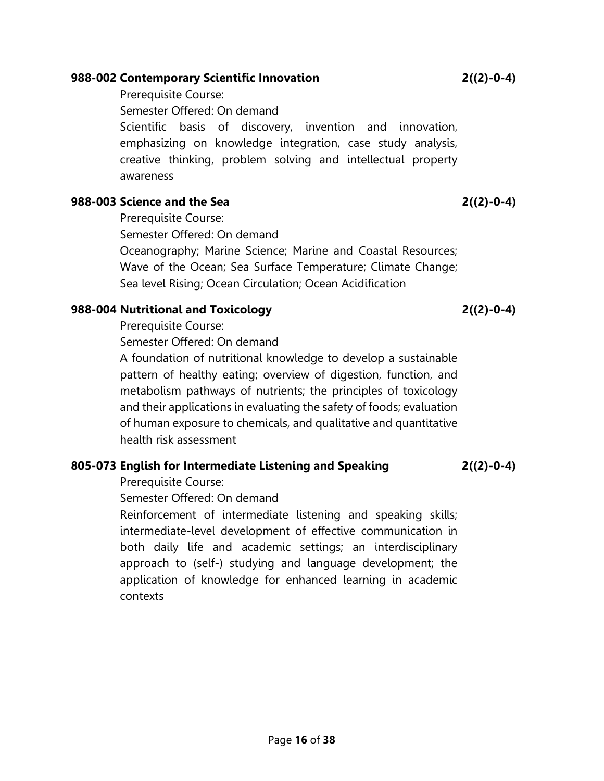### 988-002 Contemporary Scientific Innovation 2((2)-0-4)

Prerequisite Course: Semester Offered: On demand Scientific basis of discovery, invention and innovation, emphasizing on knowledge integration, case study analysis, creative thinking, problem solving and intellectual property awareness

# 988-003 Science and the Sea 2((2)-0-4)

Prerequisite Course:

Semester Offered: On demand

Oceanography; Marine Science; Marine and Coastal Resources; Wave of the Ocean; Sea Surface Temperature; Climate Change; Sea level Rising; Ocean Circulation; Ocean Acidification

# 988-004 Nutritional and Toxicology 2((2)-0-4)

Prerequisite Course:

Semester Offered: On demand

A foundation of nutritional knowledge to develop a sustainable pattern of healthy eating; overview of digestion, function, and metabolism pathways of nutrients; the principles of toxicology and their applications in evaluating the safety of foods; evaluation of human exposure to chemicals, and qualitative and quantitative health risk assessment

# 805-073 English for Intermediate Listening and Speaking 2((2)-0-4)

Prerequisite Course:

Semester Offered: On demand

Reinforcement of intermediate listening and speaking skills; intermediate-level development of effective communication in both daily life and academic settings; an interdisciplinary approach to (self-) studying and language development; the application of knowledge for enhanced learning in academic contexts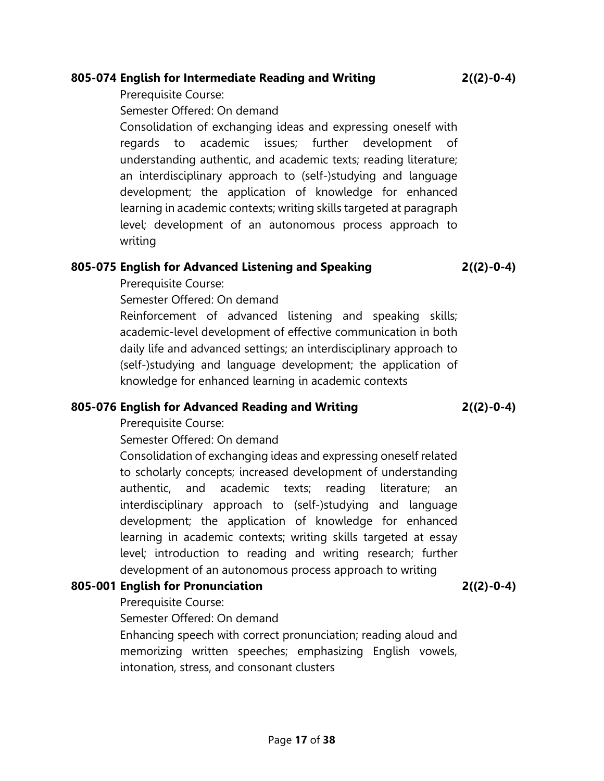### 805-074 English for Intermediate Reading and Writing 2((2)-0-4)

Prerequisite Course:

Semester Offered: On demand

Consolidation of exchanging ideas and expressing oneself with regards to academic issues; further development of understanding authentic, and academic texts; reading literature; an interdisciplinary approach to (self-)studying and language development; the application of knowledge for enhanced learning in academic contexts; writing skills targeted at paragraph level; development of an autonomous process approach to writing

## 805-075 English for Advanced Listening and Speaking 2((2)-0-4)

Prerequisite Course:

Semester Offered: On demand

Reinforcement of advanced listening and speaking skills; academic-level development of effective communication in both daily life and advanced settings; an interdisciplinary approach to (self-)studying and language development; the application of knowledge for enhanced learning in academic contexts

### 805-076 English for Advanced Reading and Writing 2((2)-0-4)

Prerequisite Course:

Semester Offered: On demand

Consolidation of exchanging ideas and expressing oneself related to scholarly concepts; increased development of understanding authentic, and academic texts; reading literature; an interdisciplinary approach to (self-)studying and language development; the application of knowledge for enhanced learning in academic contexts; writing skills targeted at essay level; introduction to reading and writing research; further development of an autonomous process approach to writing

# 805-001 English for Pronunciation 2((2)-0-4)

Prerequisite Course:

Semester Offered: On demand

Enhancing speech with correct pronunciation; reading aloud and memorizing written speeches; emphasizing English vowels, intonation, stress, and consonant clusters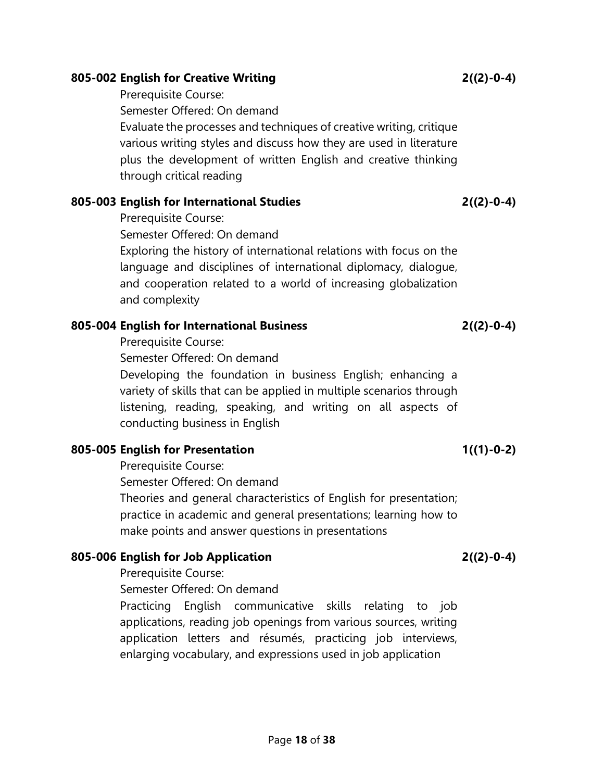#### 805-002 English for Creative Writing 2((2)-0-4)

Prerequisite Course:

Semester Offered: On demand

Evaluate the processes and techniques of creative writing, critique various writing styles and discuss how they are used in literature plus the development of written English and creative thinking through critical reading

## 805-003 English for International Studies 2((2)-0-4)

Prerequisite Course:

Semester Offered: On demand

Exploring the history of international relations with focus on the language and disciplines of international diplomacy, dialogue, and cooperation related to a world of increasing globalization and complexity

# 805-004 English for International Business 2((2)-0-4)

Prerequisite Course:

Semester Offered: On demand

Developing the foundation in business English; enhancing a variety of skills that can be applied in multiple scenarios through listening, reading, speaking, and writing on all aspects of conducting business in English

# 805-005 English for Presentation 1((1)-0-2)

Prerequisite Course: Semester Offered: On demand Theories and general characteristics of English for presentation; practice in academic and general presentations; learning how to make points and answer questions in presentations

# 805-006 English for Job Application 2((2)-0-4)

Prerequisite Course:

Semester Offered: On demand

Practicing English communicative skills relating to job applications, reading job openings from various sources, writing application letters and résumés, practicing job interviews, enlarging vocabulary, and expressions used in job application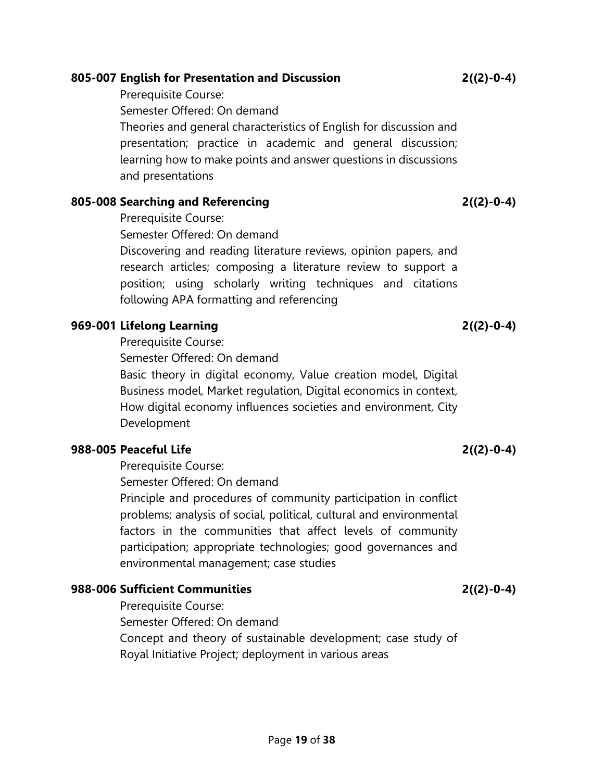### 805-007 English for Presentation and Discussion 2((2)-0-4)

Prerequisite Course: Semester Offered: On demand Theories and general characteristics of English for discussion and presentation; practice in academic and general discussion; learning how to make points and answer questions in discussions and presentations

### 805-008 Searching and Referencing 2((2)-0-4)

Prerequisite Course:

Semester Offered: On demand

Discovering and reading literature reviews, opinion papers, and research articles; composing a literature review to support a position; using scholarly writing techniques and citations following APA formatting and referencing

# 969-001 Lifelong Learning 2((2)-0-4)

Prerequisite Course:

Semester Offered: On demand

Basic theory in digital economy, Value creation model, Digital Business model, Market regulation, Digital economics in context, How digital economy influences societies and environment, City Development

### 988-005 Peaceful Life 2((2)-0-4)

Prerequisite Course:

Semester Offered: On demand

Principle and procedures of community participation in conflict problems; analysis of social, political, cultural and environmental factors in the communities that affect levels of community participation; appropriate technologies; good governances and environmental management; case studies

# 988-006 Sufficient Communities 2((2)-0-4)

Prerequisite Course:

Semester Offered: On demand

Concept and theory of sustainable development; case study of Royal Initiative Project; deployment in various areas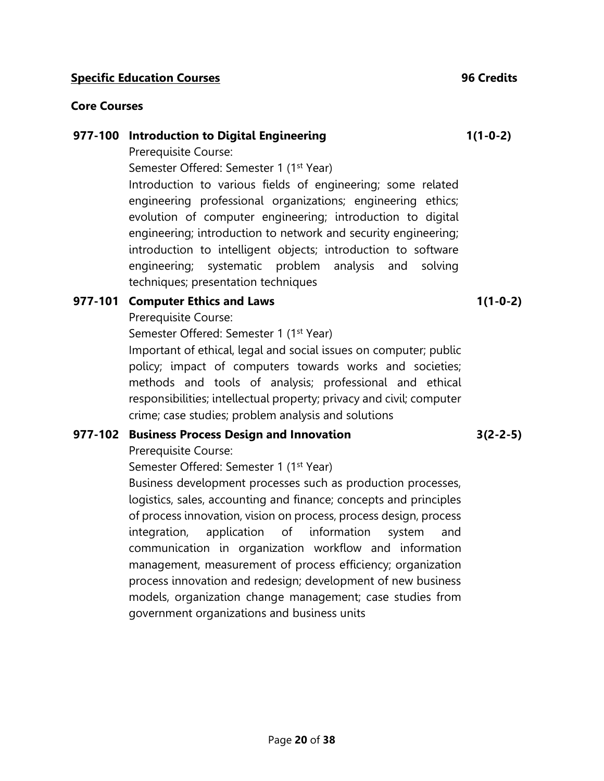#### **Specific Education Courses 6 Courses 6 Credits** 96 Credits

### Core Courses

#### 977-100 Introduction to Digital Engineering

Prerequisite Course:

Semester Offered: Semester 1 (1<sup>st</sup> Year)

Introduction to various fields of engineering; some related engineering professional organizations; engineering ethics; evolution of computer engineering; introduction to digital engineering; introduction to network and security engineering; introduction to intelligent objects; introduction to software engineering; systematic problem analysis and solving techniques; presentation techniques

## 977-101 Computer Ethics and Laws

Prerequisite Course:

Semester Offered: Semester 1 (1<sup>st</sup> Year)

Important of ethical, legal and social issues on computer; public policy; impact of computers towards works and societies; methods and tools of analysis; professional and ethical responsibilities; intellectual property; privacy and civil; computer crime; case studies; problem analysis and solutions

### 977-102 Business Process Design and Innovation

Prerequisite Course:

Semester Offered: Semester 1 (1<sup>st</sup> Year)

Business development processes such as production processes, logistics, sales, accounting and finance; concepts and principles of process innovation, vision on process, process design, process integration, application of information system and communication in organization workflow and information management, measurement of process efficiency; organization process innovation and redesign; development of new business models, organization change management; case studies from government organizations and business units

1(1-0-2)

3(2-2-5)

1(1-0-2)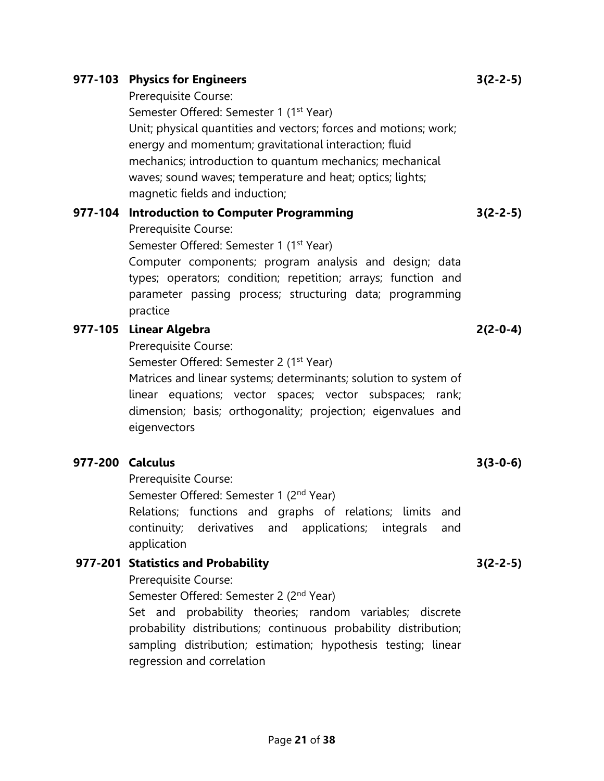#### mechanics; introduction to quantum mechanics; mechanical waves; sound waves; temperature and heat; optics; lights;

Prerequisite Course:

magnetic fields and induction;

## 977-104 Introduction to Computer Programming

Prerequisite Course:

Semester Offered: Semester 1 (1<sup>st</sup> Year)

Semester Offered: Semester 1 (1<sup>st</sup> Year)

Computer components; program analysis and design; data types; operators; condition; repetition; arrays; function and parameter passing process; structuring data; programming practice

Unit; physical quantities and vectors; forces and motions; work;

energy and momentum; gravitational interaction; fluid

## 977-105 Linear Algebra

Prerequisite Course:

Semester Offered: Semester 2 (1<sup>st</sup> Year)

Matrices and linear systems; determinants; solution to system of linear equations; vector spaces; vector subspaces; rank; dimension; basis; orthogonality; projection; eigenvalues and eigenvectors

#### 977-200 Calculus

Prerequisite Course:

Semester Offered: Semester 1 (2<sup>nd</sup> Year)

Relations; functions and graphs of relations; limits and continuity; derivatives and applications; integrals and application

#### 977-201 Statistics and Probability

Prerequisite Course:

Semester Offered: Semester 2 (2<sup>nd</sup> Year)

Set and probability theories; random variables; discrete probability distributions; continuous probability distribution; sampling distribution; estimation; hypothesis testing; linear regression and correlation

#### 977-103 Physics for Engineers

3(2-2-5)

3(2-2-5)

2(2-0-4)

3(3-0-6)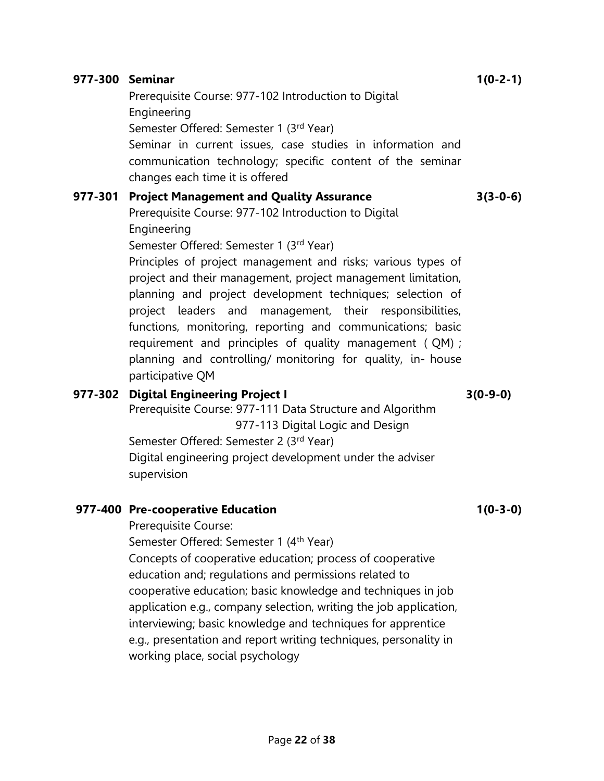|   | planning and controlling/ monitoring for quality, in- house<br>participative QM                                                                                                                                                                                                                                                                                                                                                                                                                                                                   |
|---|---------------------------------------------------------------------------------------------------------------------------------------------------------------------------------------------------------------------------------------------------------------------------------------------------------------------------------------------------------------------------------------------------------------------------------------------------------------------------------------------------------------------------------------------------|
|   | <b>Digital Engineering Project I</b><br>Prerequisite Course: 977-111 Data Structure and Algorithm<br>977-113 Digital Logic and Design<br>Semester Offered: Semester 2 (3rd Year)<br>Digital engineering project development under the adviser<br>supervision                                                                                                                                                                                                                                                                                      |
| D | <b>Pre-cooperative Education</b><br>Prerequisite Course:<br>Semester Offered: Semester 1 (4 <sup>th</sup> Year)<br>Concepts of cooperative education; process of cooperative<br>education and; regulations and permissions related to<br>cooperative education; basic knowledge and techniques in job<br>application e.g., company selection, writing the job application,<br>interviewing; basic knowledge and techniques for apprentice<br>e.g., presentation and report writing techniques, personality in<br>working place, social psychology |
|   | Page 22 of 38                                                                                                                                                                                                                                                                                                                                                                                                                                                                                                                                     |

Prerequisite Course: 977-102 Introduction to Digital

Prerequisite Course: 977-102 Introduction to Digital

Seminar in current issues, case studies in information and communication technology; specific content of the seminar

Principles of project management and risks; various types of project and their management, project management limitation, planning and project development techniques; selection of project leaders and management, their responsibilities, functions, monitoring, reporting and communications; basic requirement and principles of quality management ( QM) ;

Semester Offered: Semester 1 (3rd Year)

changes each time it is offered

977-301 Project Management and Quality Assurance

Semester Offered: Semester 1 (3rd Year)

# 977-302

977-300 Seminar

Engineering

Engineering

# 977-400

1(0-2-1)

3(3-0-6)

3(0-9-0)

1(0-3-0)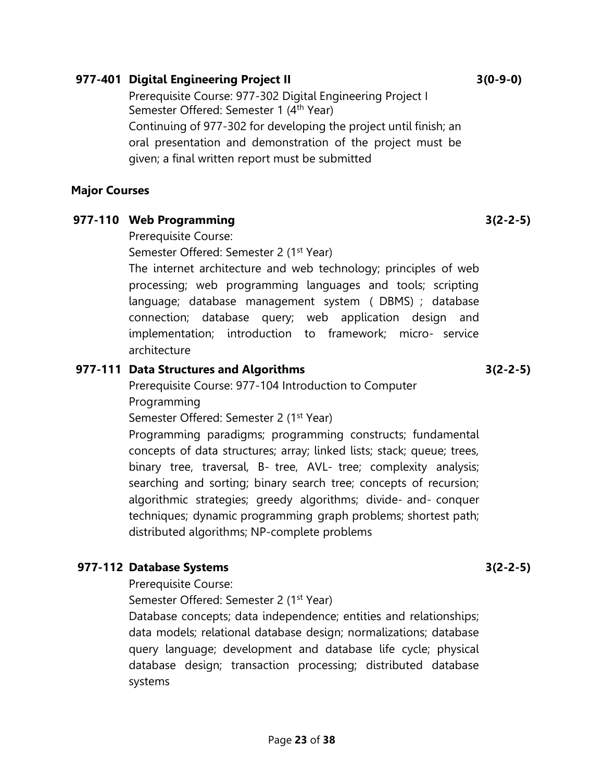### 977-401 Digital Engineering Project II

Prerequisite Course: 977-302 Digital Engineering Project I Semester Offered: Semester 1 (4<sup>th</sup> Year) Continuing of 977-302 for developing the project until finish; an oral presentation and demonstration of the project must be given; a final written report must be submitted

#### Major Courses

### 977-110 Web Programming

Prerequisite Course:

Semester Offered: Semester 2 (1<sup>st</sup> Year)

The internet architecture and web technology; principles of web processing; web programming languages and tools; scripting language; database management system ( DBMS) ; database connection; database query; web application design and implementation; introduction to framework; micro- service architecture

### 977-111 Data Structures and Algorithms

Prerequisite Course: 977-104 Introduction to Computer Programming

Semester Offered: Semester 2 (1<sup>st</sup> Year)

Programming paradigms; programming constructs; fundamental concepts of data structures; array; linked lists; stack; queue; trees, binary tree, traversal, B- tree, AVL- tree; complexity analysis; searching and sorting; binary search tree; concepts of recursion; algorithmic strategies; greedy algorithms; divide- and- conquer techniques; dynamic programming graph problems; shortest path; distributed algorithms; NP-complete problems

# 977-112 Database Systems

Prerequisite Course:

Semester Offered: Semester 2 (1<sup>st</sup> Year)

Database concepts; data independence; entities and relationships; data models; relational database design; normalizations; database query language; development and database life cycle; physical database design; transaction processing; distributed database systems

3(2-2-5)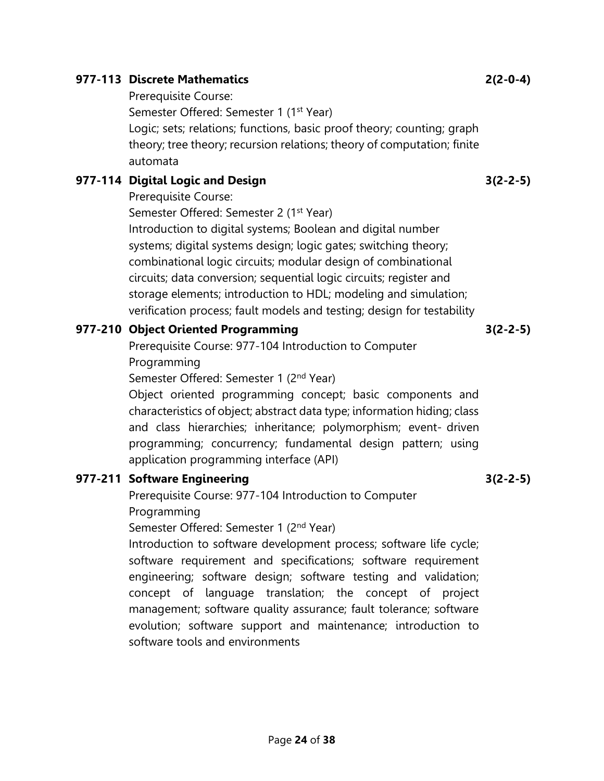### 977-113 Discrete Mathematics

Prerequisite Course:

Semester Offered: Semester 1 (1<sup>st</sup> Year)

Logic; sets; relations; functions, basic proof theory; counting; graph theory; tree theory; recursion relations; theory of computation; finite automata

### 977-114 Digital Logic and Design

Prerequisite Course:

Semester Offered: Semester 2 (1<sup>st</sup> Year)

Introduction to digital systems; Boolean and digital number systems; digital systems design; logic gates; switching theory; combinational logic circuits; modular design of combinational circuits; data conversion; sequential logic circuits; register and storage elements; introduction to HDL; modeling and simulation; verification process; fault models and testing; design for testability

### 977-210 Object Oriented Programming

Prerequisite Course: 977-104 Introduction to Computer Programming

Semester Offered: Semester 1 (2<sup>nd</sup> Year)

Object oriented programming concept; basic components and characteristics of object; abstract data type; information hiding; class and class hierarchies; inheritance; polymorphism; event- driven programming; concurrency; fundamental design pattern; using application programming interface (API)

### 977-211 Software Engineering

Prerequisite Course: 977-104 Introduction to Computer Programming

Semester Offered: Semester 1 (2<sup>nd</sup> Year)

Introduction to software development process; software life cycle; software requirement and specifications; software requirement engineering; software design; software testing and validation; concept of language translation; the concept of project management; software quality assurance; fault tolerance; software evolution; software support and maintenance; introduction to software tools and environments

Page 24 of 38

3(2-2-5)

3(2-2-5)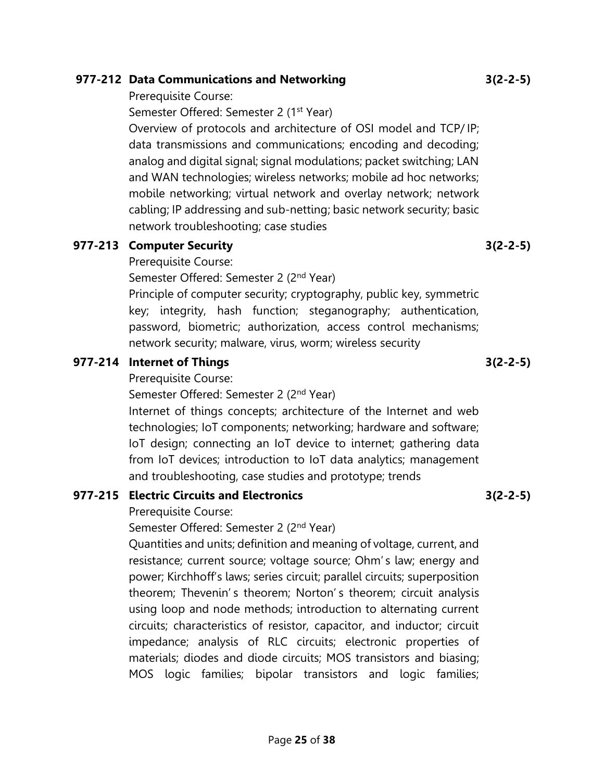## 977-212 Data Communications and Networking

Prerequisite Course:

Semester Offered: Semester 2 (1<sup>st</sup> Year)

Overview of protocols and architecture of OSI model and TCP/IP; data transmissions and communications; encoding and decoding; analog and digital signal; signal modulations; packet switching; LAN and WAN technologies; wireless networks; mobile ad hoc networks; mobile networking; virtual network and overlay network; network cabling; IP addressing and sub-netting; basic network security; basic network troubleshooting; case studies

#### 977-213 Computer Security

Prerequisite Course:

Semester Offered: Semester 2 (2<sup>nd</sup> Year)

Principle of computer security; cryptography, public key, symmetric key; integrity, hash function; steganography; authentication, password, biometric; authorization, access control mechanisms; network security; malware, virus, worm; wireless security

### 977-214 Internet of Things

Prerequisite Course:

Semester Offered: Semester 2 (2<sup>nd</sup> Year)

Internet of things concepts; architecture of the Internet and web technologies; IoT components; networking; hardware and software; IoT design; connecting an IoT device to internet; gathering data from IoT devices; introduction to IoT data analytics; management and troubleshooting, case studies and prototype; trends

### 977-215 Electric Circuits and Electronics

Prerequisite Course:

Semester Offered: Semester 2 (2<sup>nd</sup> Year)

Quantities and units; definition and meaning of voltage, current, and resistance; current source; voltage source; Ohm' s law; energy and power; Kirchhoff's laws; series circuit; parallel circuits; superposition theorem; Thevenin' s theorem; Norton' s theorem; circuit analysis using loop and node methods; introduction to alternating current circuits; characteristics of resistor, capacitor, and inductor; circuit impedance; analysis of RLC circuits; electronic properties of materials; diodes and diode circuits; MOS transistors and biasing; MOS logic families; bipolar transistors and logic families;

3(2-2-5)

3(2-2-5)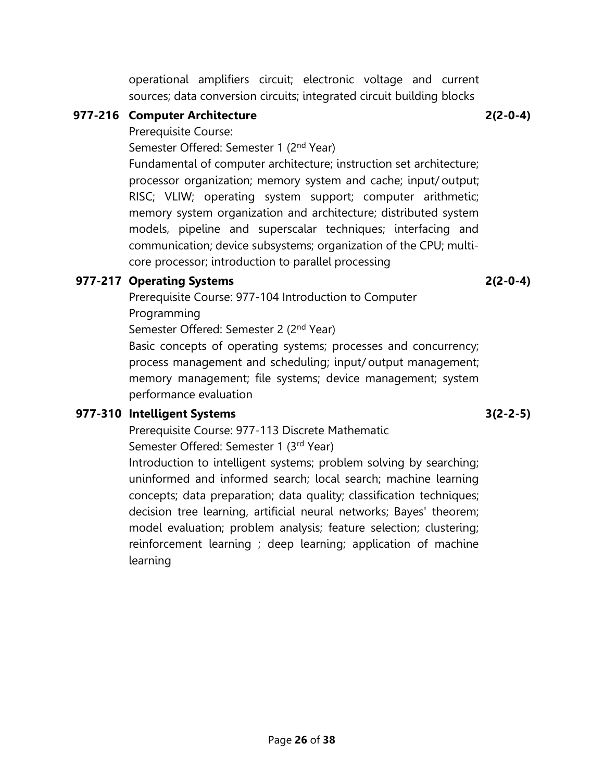operational amplifiers circuit; electronic voltage and current sources; data conversion circuits; integrated circuit building blocks

### 977-216 Computer Architecture

Prerequisite Course:

Semester Offered: Semester 1 (2<sup>nd</sup> Year)

Fundamental of computer architecture; instruction set architecture; processor organization; memory system and cache; input/ output; RISC; VLIW; operating system support; computer arithmetic; memory system organization and architecture; distributed system models, pipeline and superscalar techniques; interfacing and communication; device subsystems; organization of the CPU; multicore processor; introduction to parallel processing

# 977-217 Operating Systems

Prerequisite Course: 977-104 Introduction to Computer Programming

Semester Offered: Semester 2 (2<sup>nd</sup> Year)

Basic concepts of operating systems; processes and concurrency; process management and scheduling; input/ output management; memory management; file systems; device management; system performance evaluation

# 977-310 Intelligent Systems

Prerequisite Course: 977-113 Discrete Mathematic

Semester Offered: Semester 1 (3rd Year)

Introduction to intelligent systems; problem solving by searching; uninformed and informed search; local search; machine learning concepts; data preparation; data quality; classification techniques; decision tree learning, artificial neural networks; Bayes' theorem; model evaluation; problem analysis; feature selection; clustering; reinforcement learning ; deep learning; application of machine learning

2(2-0-4)

3(2-2-5)

2(2-0-4)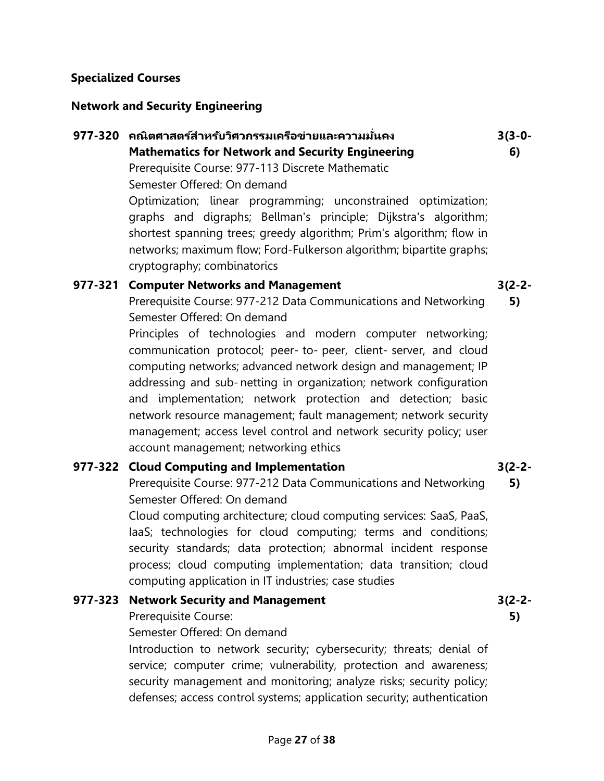#### Specialized Courses

### Network and Security Engineering

# 977-320 คณิตศาสตร์สำหรับวิศวกรรมเครือข่ายและความมั่นคง Mathematics for Network and Security Engineering Prerequisite Course: 977-113 Discrete Mathematic Semester Offered: On demand Optimization; linear programming; unconstrained optimization; graphs and digraphs; Bellman's principle; Dijkstra's algorithm; shortest spanning trees; greedy algorithm; Prim's algorithm; flow in networks; maximum flow; Ford-Fulkerson algorithm; bipartite graphs; cryptography; combinatorics

## 977-321 Computer Networks and Management

Prerequisite Course: 977-212 Data Communications and Networking Semester Offered: On demand 5)

Principles of technologies and modern computer networking; communication protocol; peer- to- peer, client- server, and cloud computing networks; advanced network design and management; IP addressing and sub- netting in organization; network configuration and implementation; network protection and detection; basic network resource management; fault management; network security management; access level control and network security policy; user account management; networking ethics

### 977-322 Cloud Computing and Implementation

Prerequisite Course: 977-212 Data Communications and Networking Semester Offered: On demand

Cloud computing architecture; cloud computing services: SaaS, PaaS, IaaS; technologies for cloud computing; terms and conditions; security standards; data protection; abnormal incident response process; cloud computing implementation; data transition; cloud computing application in IT industries; case studies

### 977-323 Network Security and Management

Prerequisite Course:

Semester Offered: On demand

Introduction to network security; cybersecurity; threats; denial of service; computer crime; vulnerability, protection and awareness; security management and monitoring; analyze risks; security policy; defenses; access control systems; application security; authentication

3(2-2-

3(3-0- 6)

3(2-2-

3(2-2- 5)

5)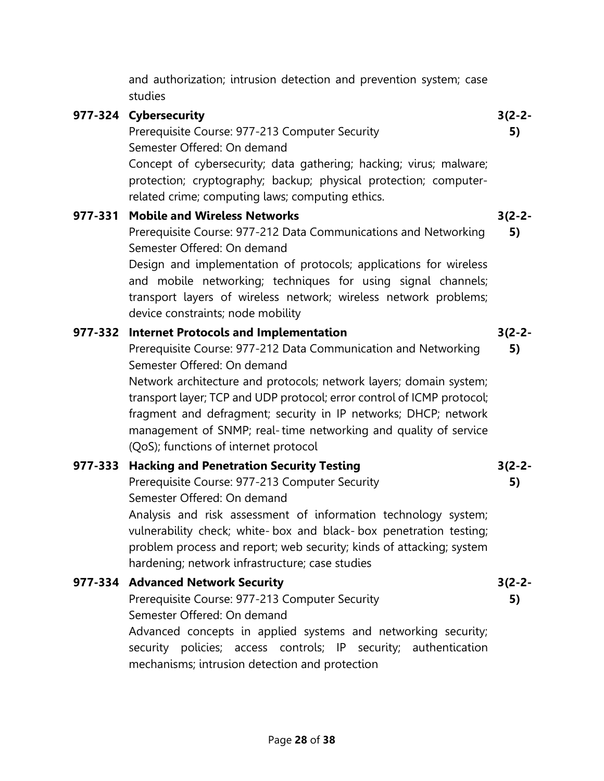Semester Offered: On demand Concept of cybersecurity; data gathering; hacking; virus; malware; protection; cryptography; backup; physical protection; computerrelated crime; computing laws; computing ethics. 977-331 Mobile and Wireless Networks Prerequisite Course: 977-212 Data Communications and Networking Semester Offered: On demand Design and implementation of protocols; applications for wireless and mobile networking; techniques for using signal channels; transport layers of wireless network; wireless network problems; device constraints; node mobility 3(2-2- 5) 977-332 Internet Protocols and Implementation Prerequisite Course: 977-212 Data Communication and Networking Semester Offered: On demand Network architecture and protocols; network layers; domain system; transport layer; TCP and UDP protocol; error control of ICMP protocol; fragment and defragment; security in IP networks; DHCP; network management of SNMP; real-time networking and quality of service (QoS); functions of internet protocol 3(2-2- 5) 977-333 Hacking and Penetration Security Testing Prerequisite Course: 977-213 Computer Security Semester Offered: On demand Analysis and risk assessment of information technology system; vulnerability check; white- box and black- box penetration testing; problem process and report; web security; kinds of attacking; system hardening; network infrastructure; case studies 3(2-2- 5) 977-334 Advanced Network Security Prerequisite Course: 977-213 Computer Security Semester Offered: On demand Advanced concepts in applied systems and networking security; security policies; access controls; IP security; authentication 3(2-2- 5)

and authorization; intrusion detection and prevention system; case

3(2-2- 5)

Prerequisite Course: 977-213 Computer Security

studies

977-324 Cybersecurity

mechanisms; intrusion detection and protection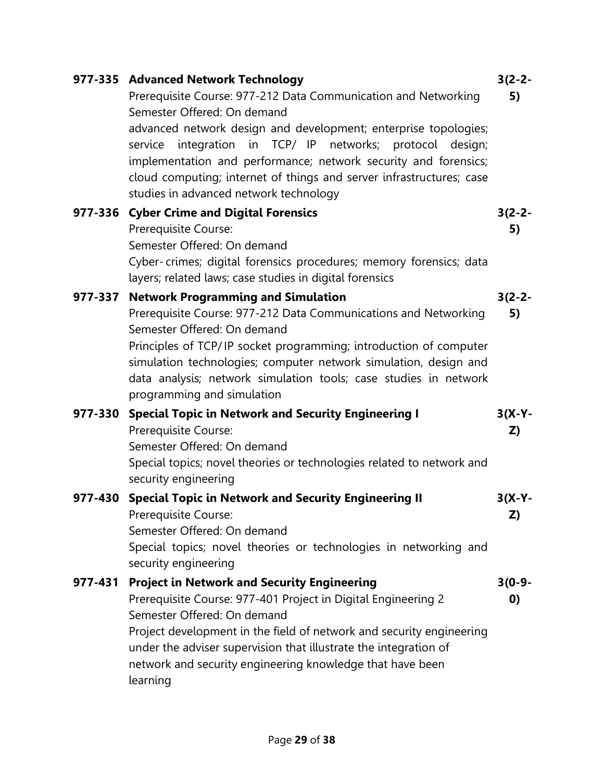|         | 977-335 Advanced Network Technology<br>Prerequisite Course: 977-212 Data Communication and Networking<br>Semester Offered: On demand<br>advanced network design and development; enterprise topologies;<br>in TCP/ IP networks; protocol design;<br>integration<br>service<br>implementation and performance; network security and forensics;<br>cloud computing; internet of things and server infrastructures; case | $3(2-2-$<br>5)               |
|---------|-----------------------------------------------------------------------------------------------------------------------------------------------------------------------------------------------------------------------------------------------------------------------------------------------------------------------------------------------------------------------------------------------------------------------|------------------------------|
|         | studies in advanced network technology<br>977-336 Cyber Crime and Digital Forensics<br>Prerequisite Course:<br>Semester Offered: On demand<br>Cyber-crimes; digital forensics procedures; memory forensics; data<br>layers; related laws; case studies in digital forensics                                                                                                                                           | $3(2-2-$<br>5)               |
|         | 977-337 Network Programming and Simulation<br>Prerequisite Course: 977-212 Data Communications and Networking<br>Semester Offered: On demand<br>Principles of TCP/IP socket programming; introduction of computer<br>simulation technologies; computer network simulation, design and<br>data analysis; network simulation tools; case studies in network<br>programming and simulation                               | $3(2-2-$<br>5)               |
|         | 977-330 Special Topic in Network and Security Engineering I<br>Prerequisite Course:<br>Semester Offered: On demand<br>Special topics; novel theories or technologies related to network and<br>security engineering                                                                                                                                                                                                   | $3(X-Y -$<br>Z)              |
|         | 977-430 Special Topic in Network and Security Engineering II<br>Prerequisite Course:<br>Semester Offered: On demand<br>Special topics; novel theories or technologies in networking and<br>security engineering                                                                                                                                                                                                       | $3(X-Y -$<br>Z)              |
| 977-431 | <b>Project in Network and Security Engineering</b><br>Prerequisite Course: 977-401 Project in Digital Engineering 2<br>Semester Offered: On demand<br>Project development in the field of network and security engineering<br>under the adviser supervision that illustrate the integration of<br>network and security engineering knowledge that have been<br>learning                                               | $3(0-9-$<br>$\boldsymbol{0}$ |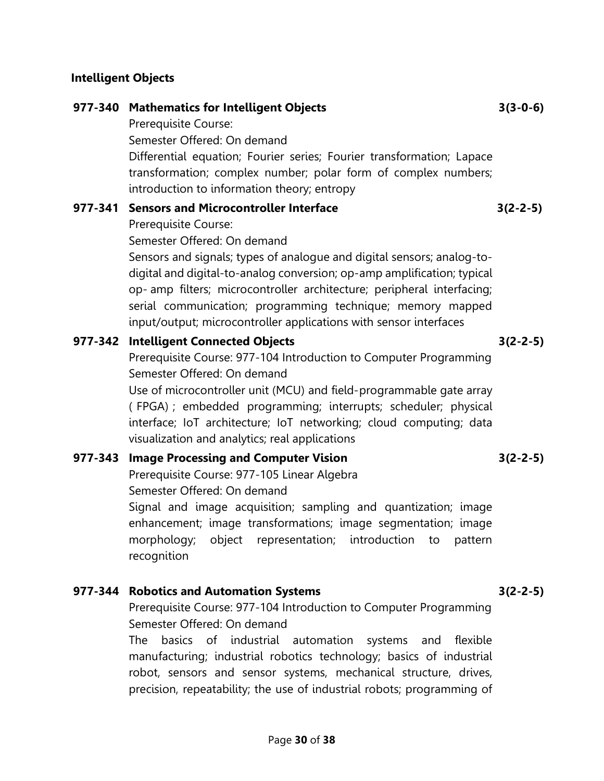# Intelligent Objects

|         | 977-340 Mathematics for Intelligent Objects<br>Prerequisite Course:                                                                                                                                                                                                                                                                                            | $3(3-0-6)$ |
|---------|----------------------------------------------------------------------------------------------------------------------------------------------------------------------------------------------------------------------------------------------------------------------------------------------------------------------------------------------------------------|------------|
|         | Semester Offered: On demand                                                                                                                                                                                                                                                                                                                                    |            |
|         | Differential equation; Fourier series; Fourier transformation; Lapace<br>transformation; complex number; polar form of complex numbers;<br>introduction to information theory; entropy                                                                                                                                                                         |            |
| 977-341 | <b>Sensors and Microcontroller Interface</b>                                                                                                                                                                                                                                                                                                                   | $3(2-2-5)$ |
|         | Prerequisite Course:                                                                                                                                                                                                                                                                                                                                           |            |
|         | Semester Offered: On demand                                                                                                                                                                                                                                                                                                                                    |            |
|         | Sensors and signals; types of analogue and digital sensors; analog-to-<br>digital and digital-to-analog conversion; op-amp amplification; typical<br>op- amp filters; microcontroller architecture; peripheral interfacing;<br>serial communication; programming technique; memory mapped<br>input/output; microcontroller applications with sensor interfaces |            |
| 977-342 | <b>Intelligent Connected Objects</b>                                                                                                                                                                                                                                                                                                                           | $3(2-2-5)$ |
|         | Prerequisite Course: 977-104 Introduction to Computer Programming<br>Semester Offered: On demand                                                                                                                                                                                                                                                               |            |
|         | Use of microcontroller unit (MCU) and field-programmable gate array<br>(FPGA) ; embedded programming; interrupts; scheduler; physical<br>interface; IoT architecture; IoT networking; cloud computing; data<br>visualization and analytics; real applications                                                                                                  |            |
| 977-343 | <b>Image Processing and Computer Vision</b>                                                                                                                                                                                                                                                                                                                    | $3(2-2-5)$ |
|         | Prerequisite Course: 977-105 Linear Algebra                                                                                                                                                                                                                                                                                                                    |            |
|         | Semester Offered: On demand                                                                                                                                                                                                                                                                                                                                    |            |
|         | Signal and image acquisition; sampling and quantization; image<br>enhancement; image transformations; image segmentation; image<br>morphology; object representation; introduction<br>to<br>pattern<br>recognition                                                                                                                                             |            |
|         |                                                                                                                                                                                                                                                                                                                                                                |            |
| 977-344 | <b>Robotics and Automation Systems</b><br>Prerequisite Course: 977-104 Introduction to Computer Programming                                                                                                                                                                                                                                                    | $3(2-2-5)$ |
|         | Semester Offered: On demand                                                                                                                                                                                                                                                                                                                                    |            |
|         | basics<br>industrial<br>flexible<br>The<br>of<br>automation<br>systems<br>and                                                                                                                                                                                                                                                                                  |            |

manufacturing; industrial robotics technology; basics of industrial robot, sensors and sensor systems, mechanical structure, drives, precision, repeatability; the use of industrial robots; programming of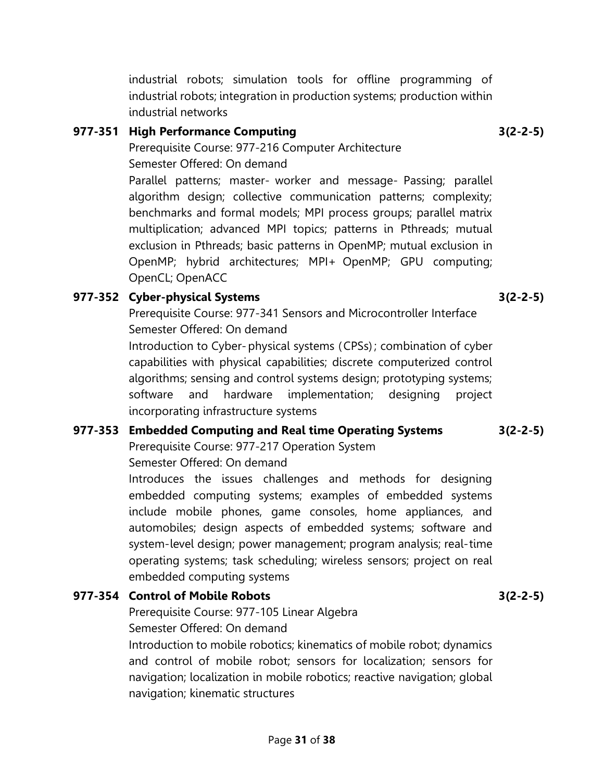multiplication; advanced MPI topics; patterns in Pthreads; mutual exclusion in Pthreads; basic patterns in OpenMP; mutual exclusion in

Parallel patterns; master- worker and message- Passing; parallel algorithm design; collective communication patterns; complexity; benchmarks and formal models; MPI process groups; parallel matrix

OpenMP; hybrid architectures; MPI+ OpenMP; GPU computing; OpenCL; OpenACC

## 977-352 Cyber-physical Systems

Prerequisite Course: 977-341 Sensors and Microcontroller Interface Semester Offered: On demand

Introduction to Cyber- physical systems ( CPSs) ; combination of cyber capabilities with physical capabilities; discrete computerized control algorithms; sensing and control systems design; prototyping systems; software and hardware implementation; designing project incorporating infrastructure systems

### 977-353 Embedded Computing and Real time Operating Systems

Prerequisite Course: 977-217 Operation System Semester Offered: On demand

Introduces the issues challenges and methods for designing embedded computing systems; examples of embedded systems include mobile phones, game consoles, home appliances, and automobiles; design aspects of embedded systems; software and system-level design; power management; program analysis; real-time operating systems; task scheduling; wireless sensors; project on real embedded computing systems

# 977-354 Control of Mobile Robots

Prerequisite Course: 977-105 Linear Algebra Semester Offered: On demand

Introduction to mobile robotics; kinematics of mobile robot; dynamics and control of mobile robot; sensors for localization; sensors for navigation; localization in mobile robotics; reactive navigation; global navigation; kinematic structures

industrial robots; simulation tools for offline programming of industrial robots; integration in production systems; production within industrial networks

# 977-351 High Performance Computing

Prerequisite Course: 977-216 Computer Architecture Semester Offered: On demand

3(2-2-5)

3(2-2-5)

3(2-2-5)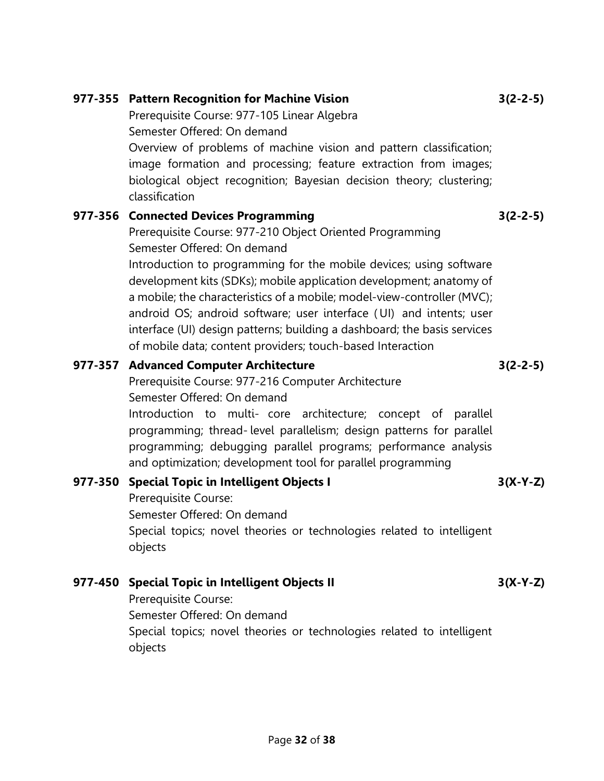| Prerequisite Course: 977-105 Linear Algebra<br>Semester Offered: On demand                                                                                                                                                                                                                                                                                                                                                                                                                                                                                                |            |
|---------------------------------------------------------------------------------------------------------------------------------------------------------------------------------------------------------------------------------------------------------------------------------------------------------------------------------------------------------------------------------------------------------------------------------------------------------------------------------------------------------------------------------------------------------------------------|------------|
| Overview of problems of machine vision and pattern classification;<br>image formation and processing; feature extraction from images;<br>biological object recognition; Bayesian decision theory; clustering;<br>classification                                                                                                                                                                                                                                                                                                                                           |            |
| 977-356 Connected Devices Programming<br>Prerequisite Course: 977-210 Object Oriented Programming<br>Semester Offered: On demand<br>Introduction to programming for the mobile devices; using software<br>development kits (SDKs); mobile application development; anatomy of<br>a mobile; the characteristics of a mobile; model-view-controller (MVC);<br>android OS; android software; user interface (UI) and intents; user<br>interface (UI) design patterns; building a dashboard; the basis services<br>of mobile data; content providers; touch-based Interaction | $3(2-2-5)$ |
| 977-357 Advanced Computer Architecture<br>Prerequisite Course: 977-216 Computer Architecture<br>Semester Offered: On demand<br>Introduction to multi- core architecture; concept of parallel<br>programming; thread-level parallelism; design patterns for parallel<br>programming; debugging parallel programs; performance analysis<br>and optimization; development tool for parallel programming                                                                                                                                                                      | $3(2-2-5)$ |
| 977-350 Special Topic in Intelligent Objects I<br>Prerequisite Course:<br>Semester Offered: On demand<br>Special topics; novel theories or technologies related to intelligent<br>objects                                                                                                                                                                                                                                                                                                                                                                                 | $3(X-Y-Z)$ |
| 977-450 Special Topic in Intelligent Objects II                                                                                                                                                                                                                                                                                                                                                                                                                                                                                                                           | $3(X-Y-Z)$ |

3(2-2-5)

977-355 Pattern Recognition for Machine Vision

Prerequisite Course: Semester Offered: On demand Special topics; novel theories or technologies related to intelligent objects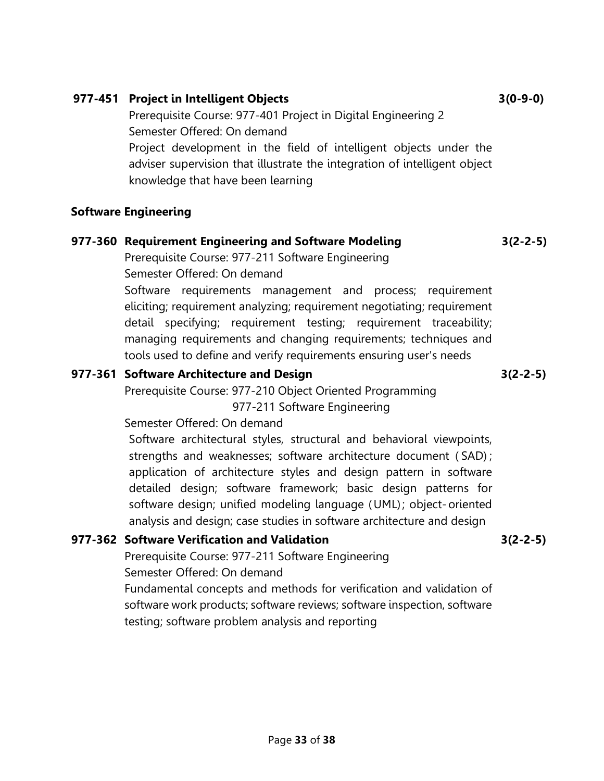# Software Engineering

# 977-360 Requirement Engineering and Software Modeling

Prerequisite Course: 977-211 Software Engineering Semester Offered: On demand

Software requirements management and process; requirement eliciting; requirement analyzing; requirement negotiating; requirement

detail specifying; requirement testing; requirement traceability; managing requirements and changing requirements; techniques and tools used to define and verify requirements ensuring user's needs

## 977-361 Software Architecture and Design

Prerequisite Course: 977-210 Object Oriented Programming 977-211 Software Engineering

Semester Offered: On demand

Software architectural styles, structural and behavioral viewpoints, strengths and weaknesses; software architecture document ( SAD) ; application of architecture styles and design pattern in software detailed design; software framework; basic design patterns for software design; unified modeling language (UML); object-oriented analysis and design; case studies in software architecture and design

# 977-362 Software Verification and Validation

Prerequisite Course: 977-211 Software Engineering Semester Offered: On demand

Fundamental concepts and methods for verification and validation of software work products; software reviews; software inspection, software testing; software problem analysis and reporting

### 977-451 Project in Intelligent Objects

Prerequisite Course: 977-401 Project in Digital Engineering 2 Semester Offered: On demand Project development in the field of intelligent objects under the

adviser supervision that illustrate the integration of intelligent object knowledge that have been learning

3(2-2-5)

3(2-2-5)

3(0-9-0)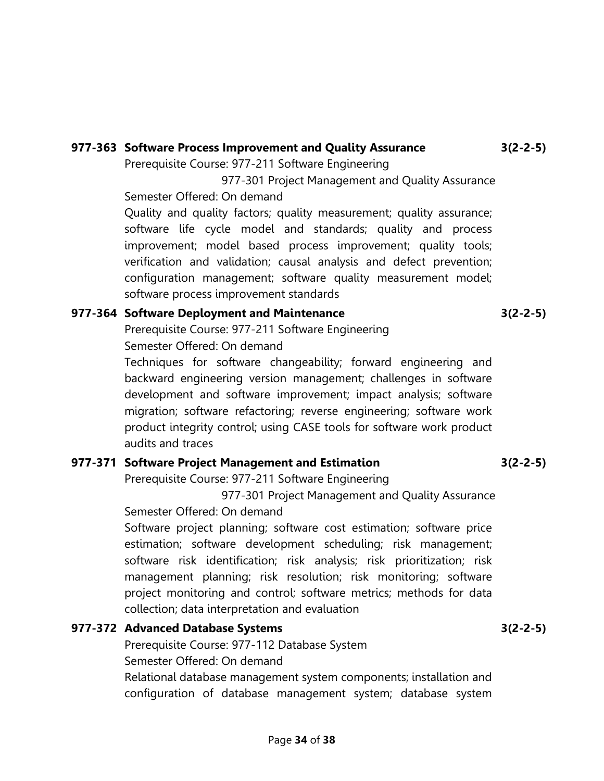# 977-363 Software Process Improvement and Quality Assurance

Prerequisite Course: 977-211 Software Engineering

 977-301 Project Management and Quality Assurance Semester Offered: On demand

Quality and quality factors; quality measurement; quality assurance; software life cycle model and standards; quality and process improvement; model based process improvement; quality tools; verification and validation; causal analysis and defect prevention; configuration management; software quality measurement model; software process improvement standards

## 977-364 Software Deployment and Maintenance

Prerequisite Course: 977-211 Software Engineering Semester Offered: On demand

Techniques for software changeability; forward engineering and backward engineering version management; challenges in software development and software improvement; impact analysis; software migration; software refactoring; reverse engineering; software work product integrity control; using CASE tools for software work product audits and traces

# 977-371 Software Project Management and Estimation

Prerequisite Course: 977-211 Software Engineering

977-301 Project Management and Quality Assurance

Semester Offered: On demand

Software project planning; software cost estimation; software price estimation; software development scheduling; risk management; software risk identification; risk analysis; risk prioritization; risk management planning; risk resolution; risk monitoring; software project monitoring and control; software metrics; methods for data collection; data interpretation and evaluation

# 977-372 Advanced Database Systems

Prerequisite Course: 977-112 Database System

Semester Offered: On demand

Relational database management system components; installation and configuration of database management system; database system

3(2-2-5)

3(2-2-5)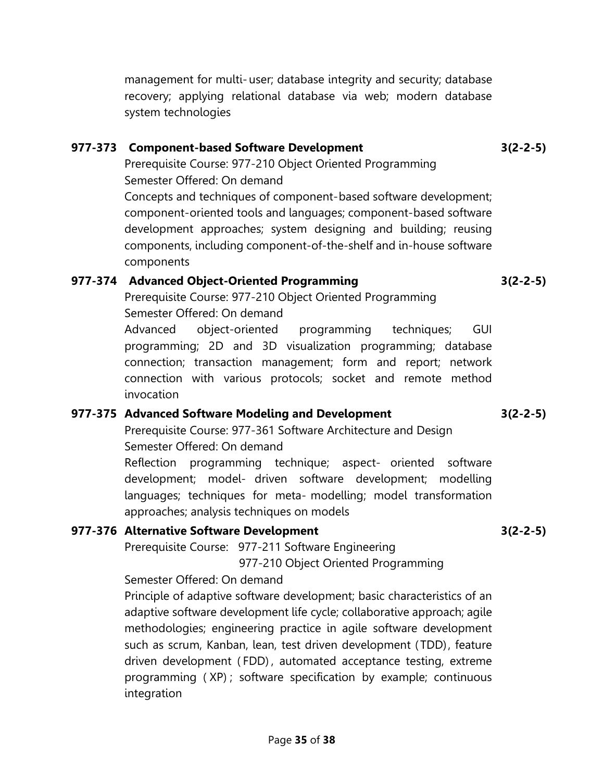management for multi- user; database integrity and security; database recovery; applying relational database via web; modern database system technologies

### 977-373 Component-based Software Development

Prerequisite Course: 977-210 Object Oriented Programming Semester Offered: On demand Concepts and techniques of component-based software development;

component-oriented tools and languages; component-based software development approaches; system designing and building; reusing components, including component-of-the-shelf and in-house software components

## 977-374 Advanced Object-Oriented Programming

Prerequisite Course: 977-210 Object Oriented Programming Semester Offered: On demand

Advanced object-oriented programming techniques; GUI programming; 2D and 3D visualization programming; database connection; transaction management; form and report; network connection with various protocols; socket and remote method invocation

### 977-375 Advanced Software Modeling and Development

Prerequisite Course: 977-361 Software Architecture and Design Semester Offered: On demand

Reflection programming technique; aspect- oriented software development; model- driven software development; modelling languages; techniques for meta- modelling; model transformation approaches; analysis techniques on models

# 977-376 Alternative Software Development

Prerequisite Course: 977-211 Software Engineering

977-210 Object Oriented Programming

### Semester Offered: On demand

Principle of adaptive software development; basic characteristics of an adaptive software development life cycle; collaborative approach; agile methodologies; engineering practice in agile software development such as scrum, Kanban, lean, test driven development ( TDD), feature driven development ( FDD) , automated acceptance testing, extreme programming ( XP) ; software specification by example; continuous integration

3(2-2-5)

### 3(2-2-5)

3(2-2-5)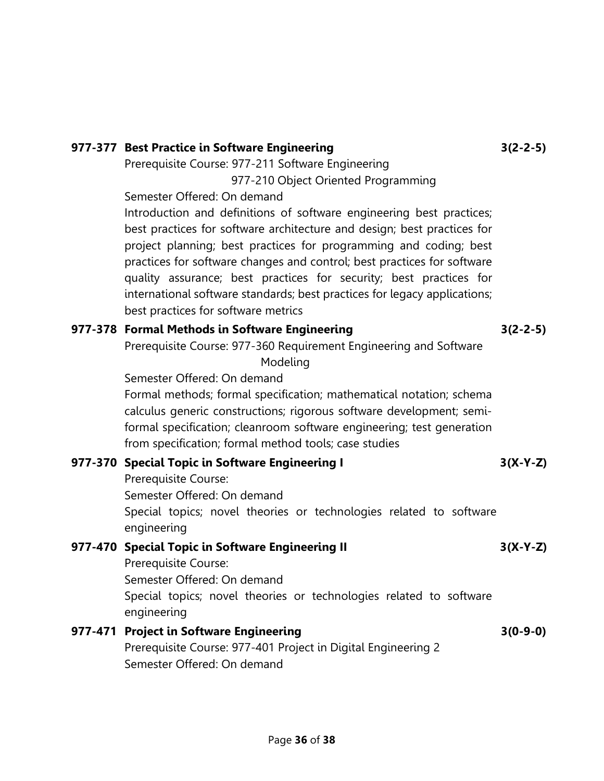| Prerequisite Course: 977-211 Software Engineering                                                                                                                                                                                                                                                                                                                                                                                                                                         |            |
|-------------------------------------------------------------------------------------------------------------------------------------------------------------------------------------------------------------------------------------------------------------------------------------------------------------------------------------------------------------------------------------------------------------------------------------------------------------------------------------------|------------|
| 977-210 Object Oriented Programming                                                                                                                                                                                                                                                                                                                                                                                                                                                       |            |
| Semester Offered: On demand                                                                                                                                                                                                                                                                                                                                                                                                                                                               |            |
| Introduction and definitions of software engineering best practices;<br>best practices for software architecture and design; best practices for<br>project planning; best practices for programming and coding; best<br>practices for software changes and control; best practices for software<br>quality assurance; best practices for security; best practices for<br>international software standards; best practices for legacy applications;<br>best practices for software metrics |            |
| 977-378 Formal Methods in Software Engineering                                                                                                                                                                                                                                                                                                                                                                                                                                            | $3(2-2-5)$ |
| Prerequisite Course: 977-360 Requirement Engineering and Software<br>Modeling                                                                                                                                                                                                                                                                                                                                                                                                             |            |
| Semester Offered: On demand                                                                                                                                                                                                                                                                                                                                                                                                                                                               |            |
| Formal methods; formal specification; mathematical notation; schema                                                                                                                                                                                                                                                                                                                                                                                                                       |            |
| calculus generic constructions; rigorous software development; semi-<br>formal specification; cleanroom software engineering; test generation<br>from specification; formal method tools; case studies                                                                                                                                                                                                                                                                                    |            |
| 977-370 Special Topic in Software Engineering I                                                                                                                                                                                                                                                                                                                                                                                                                                           | $3(X-Y-Z)$ |
| Prerequisite Course:                                                                                                                                                                                                                                                                                                                                                                                                                                                                      |            |
| Semester Offered: On demand                                                                                                                                                                                                                                                                                                                                                                                                                                                               |            |
| Special topics; novel theories or technologies related to software<br>engineering                                                                                                                                                                                                                                                                                                                                                                                                         |            |
| 977-470 Special Topic in Software Engineering II                                                                                                                                                                                                                                                                                                                                                                                                                                          | $3(X-Y-Z)$ |
| Prerequisite Course:                                                                                                                                                                                                                                                                                                                                                                                                                                                                      |            |
| Semester Offered: On demand                                                                                                                                                                                                                                                                                                                                                                                                                                                               |            |
| Special topics; novel theories or technologies related to software<br>engineering                                                                                                                                                                                                                                                                                                                                                                                                         |            |
| 977-471 Project in Software Engineering                                                                                                                                                                                                                                                                                                                                                                                                                                                   | $3(0-9-0)$ |
| Prerequisite Course: 977-401 Project in Digital Engineering 2                                                                                                                                                                                                                                                                                                                                                                                                                             |            |
| Semester Offered: On demand                                                                                                                                                                                                                                                                                                                                                                                                                                                               |            |
|                                                                                                                                                                                                                                                                                                                                                                                                                                                                                           |            |

3(2-2-5)

977-377 Best Practice in Software Engineering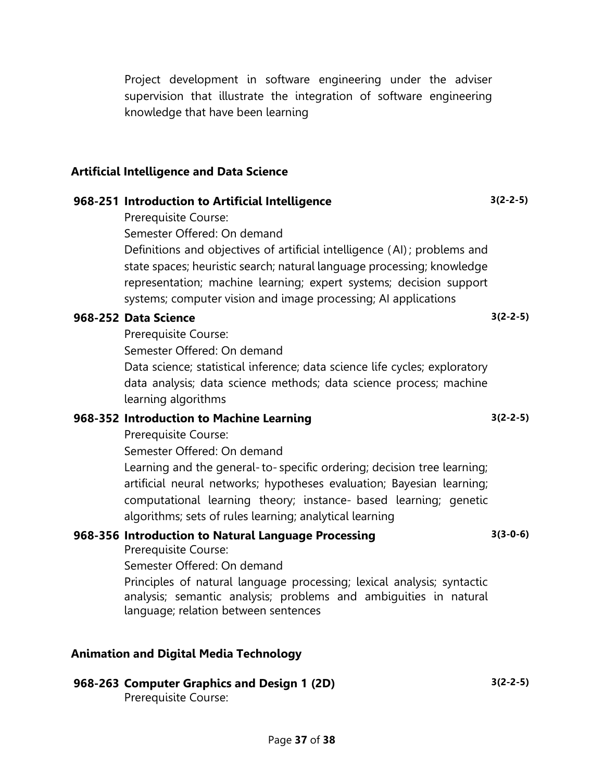Project development in software engineering under the adviser supervision that illustrate the integration of software engineering knowledge that have been learning

#### Artificial Intelligence and Data Science

#### 968-251 Introduction to Artificial Intelligence

Prerequisite Course:

Semester Offered: On demand

Definitions and objectives of artificial intelligence ( AI) ; problems and state spaces; heuristic search; natural language processing; knowledge representation; machine learning; expert systems; decision support systems; computer vision and image processing; AI applications

#### 968-252 Data Science

Prerequisite Course:

Semester Offered: On demand

Data science; statistical inference; data science life cycles; exploratory data analysis; data science methods; data science process; machine learning algorithms

#### 968-352 Introduction to Machine Learning

Prerequisite Course:

Semester Offered: On demand

Learning and the general- to- specific ordering; decision tree learning; artificial neural networks; hypotheses evaluation; Bayesian learning; computational learning theory; instance- based learning; genetic algorithms; sets of rules learning; analytical learning

#### 968-356 Introduction to Natural Language Processing Prerequisite Course:

3(3-0-6)

3(2-2-5)

Semester Offered: On demand

Principles of natural language processing; lexical analysis; syntactic analysis; semantic analysis; problems and ambiguities in natural language; relation between sentences

### Animation and Digital Media Technology

# 968-263 Computer Graphics and Design 1 (2D)

Prerequisite Course:

3(2-2-5)

3(2-2-5)